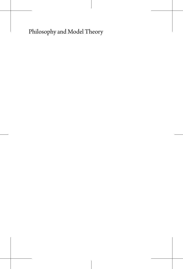Philosophy and Model Theory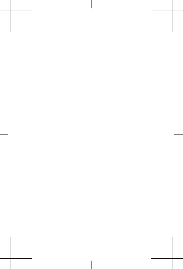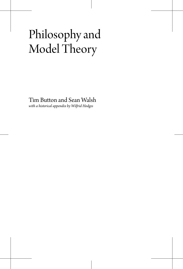# Philosophy and Model Theory

Tim Button and Sean Walsh

*with a historical appendix by Wilfrid Hodges*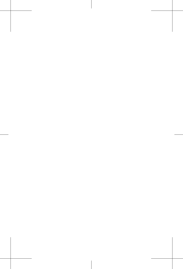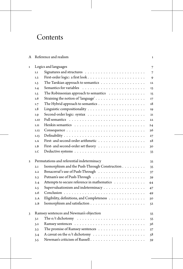## **Contents**

| A            | Reference and realism |                                                                               | $\mathbf{1}$ |
|--------------|-----------------------|-------------------------------------------------------------------------------|--------------|
| $\mathbf{1}$ | Logics and languages  |                                                                               | 7            |
|              | 1.1                   |                                                                               | 7            |
|              | 1.2                   |                                                                               | 9            |
|              | 1.3                   | The Tarskian approach to semantics                                            | 12           |
|              | 1.4                   |                                                                               | 13           |
|              | 1.5                   | The Robinsonian approach to semantics                                         | 15           |
|              | 1.6                   |                                                                               | 17           |
|              | 1.7                   |                                                                               | 18           |
|              | 1.8                   |                                                                               | 19           |
|              | 1.9                   |                                                                               | 21           |
|              | 1.10                  | Full semantics                                                                | 22           |
|              | 1.11                  |                                                                               | 24           |
|              | 1.12                  |                                                                               | 26           |
|              | 1.13                  |                                                                               | 27           |
|              | 1.A                   |                                                                               | 28           |
|              | 1.B                   |                                                                               | 30           |
|              | 1.C                   |                                                                               | 33           |
| $\mathbf{2}$ |                       | Permutations and referential indeterminacy                                    | 35           |
|              | 2.1                   | Isomorphism and the Push-Through Construction                                 | 35           |
|              | 2.2                   |                                                                               | 37           |
|              | 2.3                   |                                                                               | 39           |
|              | 2.4                   | Attempts to secure reference in mathematics                                   | 44           |
|              | 2.5                   | Supervaluationism and indeterminacy                                           | 47           |
|              | 2.6                   |                                                                               | 49           |
|              | 2.A                   | Eligibility, definitions, and Completeness                                    | 50           |
|              | 2.B                   |                                                                               | 52           |
| 3            |                       | Ramsey sentences and Newman's objection                                       | 55           |
|              | 3.1                   | The $o/t$ dichotomy $\ldots \ldots \ldots \ldots \ldots \ldots \ldots \ldots$ | 55           |
|              | 3.2                   |                                                                               | 56           |
|              | 3.3                   |                                                                               | 57           |
|              | 3.4                   | A caveat on the $o/t$ dichotomy $\ldots \ldots \ldots \ldots \ldots \ldots$   | 58           |
|              | 3.5                   |                                                                               | 59           |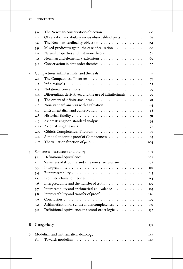xii CONTENTS

|   | 3.6  | The Newman-conservation-objection                         | 60  |
|---|------|-----------------------------------------------------------|-----|
|   | 3.7  | Observation vocabulary versus observable objects          | 63  |
|   | 3.8  | The Newman-cardinality-objection                          | 64  |
|   | 3.9  | Mixed-predicates again: the case of causation             | 66  |
|   | 3.10 | Natural properties and just more theory                   | 67  |
|   | 3.A  | Newman and elementary extensions                          | 69  |
|   | 3.B  | Conservation in first-order theories                      | 72  |
| 4 |      | Compactness, infinitesimals, and the reals                | 75  |
|   | 4.1  |                                                           | 75  |
|   | 4.2  |                                                           | 77  |
|   | 4.3  |                                                           | 79  |
|   | 4.4  | Differentials, derivatives, and the use of infinitesimals | 79  |
|   | 4.5  |                                                           | 81  |
|   | 4.6  | Non-standard analysis with a valuation                    | 84  |
|   | 4.7  |                                                           | 88  |
|   | 4.8  |                                                           | 91  |
|   | 4.9  | Axiomatising non-standard analysis                        | 93  |
|   | 4.10 |                                                           | 97  |
|   | 4.A  |                                                           | 99  |
|   | 4.B  | A model-theoretic proof of Compactness                    | 103 |
|   | 4.C  |                                                           | 104 |
| 5 |      | Sameness of structure and theory                          | 107 |
|   | 5.1  |                                                           | 107 |
|   | 5.2  | Sameness of structure and ante rem structuralism          | 108 |
|   | 5.3  |                                                           | 110 |
|   | 5.4  |                                                           | 113 |
|   | 5.5  |                                                           | 114 |
|   | 5.6  | Interpretability and the transfer of truth                | 119 |
|   | 5.7  | Interpretability and arithmetical equivalence             | 123 |
|   | 5.8  | Interpretability and transfer of proof                    | 126 |
|   | 5.9  |                                                           | 129 |
|   | 5.A  | Arithmetisation of syntax and incompleteness              | 130 |
|   | 5.B  | Definitional equivalence in second-order logic            | 132 |
| B |      | Categoricity                                              | 137 |
|   |      |                                                           |     |
| 6 |      | Modelism and mathematical doxology                        | 143 |
|   | 6.1  | Towards modelism                                          | 143 |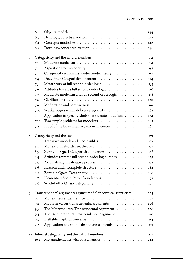### contents xiii

|    | 6.2  |                                                               | 144       |
|----|------|---------------------------------------------------------------|-----------|
|    | 6.3  |                                                               | 145       |
|    | 6.4  |                                                               | 146       |
|    | 6.5  |                                                               | 148       |
| 7  |      | Categoricity and the natural numbers                          | 151       |
|    | 7.1  |                                                               | 151       |
|    | 7.2  |                                                               | 153       |
|    | 7.3  | Categoricity within first-order model theory                  | 153       |
|    | 7.4  |                                                               | 154       |
|    | 7.5  | Metatheory of full second-order logic                         | 155       |
|    | 7.6  | Attitudes towards full second-order logic                     | 156       |
|    | 7.7  | Moderate modelism and full second-order logic                 | 158       |
|    | 7.8  |                                                               | 160       |
|    | 7.9  |                                                               | 161       |
|    | 7.10 | Weaker logics which deliver categoricity                      | 162       |
|    | 7.11 | Application to specific kinds of moderate modelism            | 164       |
|    | 7.12 | Two simple problems for modelists                             | 167       |
|    | 7.A  | Proof of the Löwenheim-Skolem Theorem                         | 167       |
| 8  |      | Categoricity and the sets                                     | 171       |
|    | 8.1  |                                                               | 171       |
|    | 8.2  |                                                               | 173       |
|    | 8.3  | Zermelo's Quasi-Categoricity Theorem                          | 178       |
|    | 8.4  | Attitudes towards full second-order logic: redux              | 179       |
|    | 8.5  |                                                               | 182       |
|    | 8.6  |                                                               | 184       |
|    | 8.A  |                                                               | 186       |
|    | 8.B  | Elementary Scott-Potter foundations                           | 192       |
|    | 8.C  |                                                               | 197       |
|    |      |                                                               |           |
| 9  |      | Transcendental arguments against model-theoretical scepticism | 203       |
|    | 9.1  |                                                               | 203       |
|    | 9.2  | Moorean versus transcendental arguments                       | 206       |
|    | 9.3  | The Metaresources Transcendental Argument                     | 206       |
|    | 9.4  | The Disquotational Transcendental Argument                    | 210       |
|    | 9.5  |                                                               | 214       |
|    | 9.A  | Application: the (non-)absoluteness of truth                  | $\bf 217$ |
| 10 |      | Internal categoricity and the natural numbers                 | 223       |
|    | 10.1 | Metamathematics without semantics                             | 224       |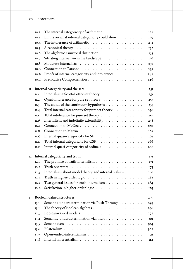|    | 10.2 | The internal categoricity of arithmetic             | 227 |
|----|------|-----------------------------------------------------|-----|
|    | 10.3 | Limits on what internal categoricity could show     | 229 |
|    | 10.4 |                                                     | 232 |
|    | 10.5 |                                                     | 232 |
|    | 10.6 | The algebraic / univocal distinction                | 233 |
|    | 10.7 | Situating internalism in the landscape              | 236 |
|    | 10.8 |                                                     | 237 |
|    | 10.A |                                                     | 239 |
|    | 10.B | Proofs of internal categoricity and intolerance     | 242 |
|    | 10.C |                                                     | 246 |
| 11 |      | Internal categoricity and the sets                  | 251 |
|    | 11.1 | Internalising Scott-Potter set theory               | 251 |
|    | 11.2 | Quasi-intolerance for pure set theory               | 253 |
|    | 11.3 | The status of the continuum hypothesis              | 255 |
|    | 11.4 | Total internal categoricity for pure set theory     | 256 |
|    | 11.5 | Total intolerance for pure set theory               | 257 |
|    | 11.6 | Internalism and indefinite extensibility            | 258 |
|    | 11.A |                                                     | 260 |
|    | 11.B |                                                     | 262 |
|    | 11.C |                                                     | 263 |
|    | 11.D |                                                     | 266 |
|    | 11.E | Internal quasi-categoricity of ordinals             | 268 |
| 12 |      | Internal categoricity and truth                     | 271 |
|    | 12.1 |                                                     | 271 |
|    | 12.2 |                                                     | 273 |
|    | 12.3 | Internalism about model theory and internal realism | 276 |
|    | 12.4 |                                                     | 282 |
|    | 12.5 | Two general issues for truth-internalism            | 284 |
|    | 12.A |                                                     | 285 |
| 13 |      | Boolean-valued structures                           | 295 |
|    | 13.1 | Semantic-underdetermination via Push-Through        | 295 |
|    | 13.2 |                                                     | 296 |
|    | 13.3 |                                                     | 298 |
|    | 13.4 | Semantic-underdetermination via filters             | 301 |
|    | 13.5 |                                                     | 304 |
|    | 13.6 |                                                     | 307 |
|    | 13.7 |                                                     | 311 |
|    | 13.8 |                                                     | 314 |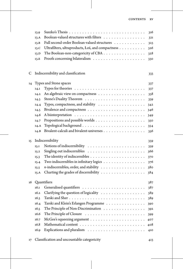contents xv

|    | 13.9 |                                                   | 316 |
|----|------|---------------------------------------------------|-----|
|    | 13.A | Boolean-valued structures with filters            | 321 |
|    | 13.B | Full second-order Boolean-valued structures       | 323 |
|    | 13.C | Ultrafilters, ultraproducts, Łoś, and compactness | 326 |
|    | 13.D | The Boolean-non-categoricity of CBA               | 328 |
|    | 13.E |                                                   | 330 |
|    |      |                                                   |     |
| C  |      | Indiscernibility and classification               | 333 |
| 14 |      | Types and Stone spaces                            | 337 |
|    | 14.1 |                                                   | 337 |
|    | 14.2 |                                                   | 338 |
|    | 14.3 |                                                   | 339 |
|    | 14.4 |                                                   | 342 |
|    | 14.5 |                                                   | 346 |
|    | 14.6 |                                                   | 349 |
|    | 14.7 |                                                   | 350 |
|    | 14.A |                                                   | 354 |
|    | 14.B | Bivalent-calculi and bivalent-universes           | 356 |
| 15 |      | Indiscernibility                                  | 359 |
|    | 15.1 |                                                   | 359 |
|    | 15.2 |                                                   | 366 |
|    | 15.3 |                                                   | 370 |
|    | 15.4 | Two-indiscernibles in infinitary logics           | 376 |
|    | 15.5 | <i>n</i> -indiscernibles, order, and stability    | 380 |
|    | 15.A | Charting the grades of discernibility             | 384 |
| 16 |      | Quantifiers                                       | 387 |
|    | 16.1 |                                                   | 387 |
|    | 16.2 | Clarifying the question of logicality             | 389 |
|    | 16.3 |                                                   | 389 |
|    | 16.4 | Tarski and Klein's Erlangen Programme             | 390 |
|    | 16.5 | The Principle of Non-Discrimination               | 392 |
|    | 16.6 |                                                   | 399 |
|    | 16.7 |                                                   | 407 |
|    | 16.8 |                                                   | 408 |
|    | 16.9 |                                                   | 410 |
| 17 |      | Classification and uncountable categoricity       | 413 |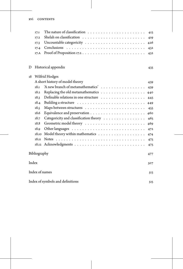| XV1 | <b>CONTENTS</b> |
|-----|-----------------|
|     |                 |

| 17.2 Shelah on classification $\ldots \ldots \ldots \ldots \ldots \ldots \ldots \ldots$ 419 |  |
|---------------------------------------------------------------------------------------------|--|
|                                                                                             |  |
|                                                                                             |  |
|                                                                                             |  |
|                                                                                             |  |

## D Historical appendix 435

| 18                                            | Wilfrid Hodges                                     |                                          |     |  |
|-----------------------------------------------|----------------------------------------------------|------------------------------------------|-----|--|
|                                               | A short history of model theory                    |                                          |     |  |
| 'A new branch of metamathematics' 439<br>18.1 |                                                    |                                          |     |  |
|                                               | 18.2                                               | Replacing the old metamathematics 440    |     |  |
|                                               | 18.3                                               | Definable relations in one structure 445 |     |  |
|                                               | 18.4                                               |                                          |     |  |
|                                               | 18.5                                               |                                          |     |  |
| 18.6                                          |                                                    |                                          |     |  |
|                                               | Categoricity and classification theory 465<br>18.7 |                                          |     |  |
| 18.8<br>18.9<br>18.10                         |                                                    |                                          |     |  |
|                                               |                                                    |                                          |     |  |
|                                               |                                                    |                                          |     |  |
| 18.11                                         |                                                    |                                          |     |  |
|                                               |                                                    |                                          |     |  |
|                                               | Bibliography                                       |                                          | 477 |  |
| Index                                         |                                                    |                                          | 507 |  |
|                                               | Index of names                                     |                                          | 513 |  |
|                                               |                                                    | Index of symbols and definitions         | 515 |  |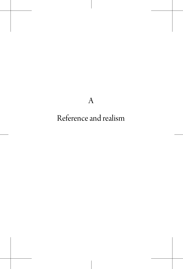# A

# Reference and realism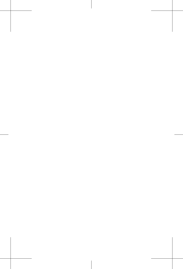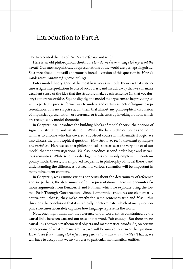## Introduction to Part A

The two central themes of Part A are *reference* and *realism*.

Here is an old philosophical chestnut: *How do we (even manage to) represent the world?* Our most sophisticated representations of the world are perhaps linguistic. So a specialised—but still enormously broad—version of this question is: *How do words (even manage to) represent things?*

Enter model theory. One of the most basic ideas in model theory is that a structure assigns interpretationsto bits of vocabulary, and in such a waythat we can make excellent sense of the idea that the structure makes each sentence (in that vocabulary) either true or false. Squint slightly, and model theory seems to be providing us with a perfectly precise, formal way to understand certain aspects of linguistic representation. It is no surprise at all, then, that almost any philosophical discussion of linguistic representation, or reference, or truth, ends up invoking notions which are recognisably model-theoretic.

In Chapter 1, we introduce the building blocks of model theory: the notions of signature, structure, and satisfaction. Whilst the bare technical bones should be familiar to anyone who has covered a 101-level course in mathematical logic, we also discuss the philosophical question: *How should we best understand quantifiers and variables?* Here we see that philosophical issues arise at the very outset of our model-theoretic investigations. We also introduce second-order logic and its various semantics. While second-order logic is less commonly employed in contemporary model theory, it is employed frequently in philosophy of model theory, and understanding the differences between its various semantics will be important in many subsequent chapters.

In Chapter 2, we examine various concerns about the determinacy of reference and so, perhaps, the determinacy of our representations. Here we encounter famous arguments from Benacerraf and Putnam, which we explicate using the formal Push-Through Construction. Since isomorphic structures are elementarily equivalent—that is, they make exactly the same sentences true and false—this threatens the conclusion that it is radically indeterminate, which of many isomorphic structures accurately captures how language represents the world.

Now, one might think that the reference of our word 'cat' is constrained by the causal links between cats and our uses of that word. Fair enough. But there are no causal links between mathematical objects and mathematical words. So, on certain conceptions of what humans are like, we will be unable to answer the question: *How do we (even manage to) refer to any particular mathematical entity?* That is, we will have to accept that we *do not* refer to particular mathematical entities.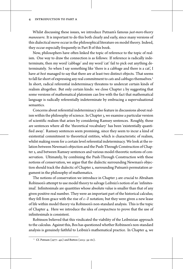#### INTRODUCTION TO PART A

Whilst discussing these issues, we introduce Putnam's famous *just-more-theory manoeuvre*. It is important to do this both clearly and early, since many versions of this dialectical move occur in the philosophical literature on model theory. Indeed, they occur especially frequently in Part B of this book.

Now, philosophers have often linked the topic of reference to the topic of realism. One way to draw the connection is as follows: If reference is radically indeterminate, then my word 'cabbage' and my word 'cat' fail to pick out anything determinately. So when I say something like 'there is a cabbage and there is a cat', I have *at best* managed to say that there are at least two distinct objects. That seems to fall far short of expressing any real commitment to *cats* and *cabbages* themselves.<sup>1</sup> In short, radical referential indeterminacy threatens to undercut certain kinds of realism altogether. But only certain kinds: we close Chapter 2 by suggesting that some versions of mathematical platonism can live with the fact that mathematical language is radically referentially indeterminate by embracing a supervaluational semantics.

Concerns about referential indeterminacy also feature in discussions about realism within the philosophy of science. In Chapter 3, we examine a particular version of scientific realism that arises by considering Ramsey sentences. Roughly, these are sentences where all the 'theoretical vocabulary' has been 'existentially quantified away'. Ramsey sentences seem promising, since they seem to incur a kind of existential commitment to theoretical entities, which is characteristic of realism, whilst making room for a certain level referential indeterminacy. We look at the relation between Newman's objection and the Push-Through Construction of Chapter 2, and between Ramsey sentences and various model-theoretic notions of conservation. Ultimately, by combining the Push-Through Construction with these notions of conservation, we argue that the dialectic surrounding Newman's objection should track the dialectic of Chapter 2, surrounding Putnam's permutation argument in the philosophy of mathematics.

The notions of conservation we introduce in Chapter 3 are crucial to Abraham Robinson's attempt to use model theory to salvage Leibniz's notion of an 'infinitesimal'. Infinitesimals are quantities whose absolute value is smaller than that of any given positive real number. They were an important part of the historical calculus; they fell from grace with the rise of  $ε-\delta$  notation; but they were given a new lease of life within model theory via Robinson's non-standard analysis. This is the topic of Chapter 4. Here we introduce the idea of *compactness* to prove that the use of infinitesimals is consistent.

Robinson believed that this vindicated the viability of the Leibnizian approach to the calculus. Against this, Bos has questioned whether Robinson's non-standard analysis is genuinely faithful to Leibniz's mathematical practice. In Chapter 4, we

<sup>&</sup>lt;sup>1</sup> Cf. Putnam (1977: 491) and Button (2013: 59-60).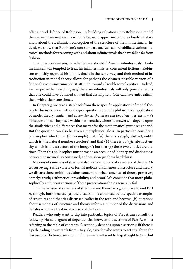offer a novel defence of Robinson. By building valuations into Robinson's model theory, we prove new results which allow us to approximate more closely what we know about the Leibnizian conception of the structure of the infinitesimals. Indeed, we show that Robinson's non-standard analysis can rehabilitate various historical methods for reasoning with and about infinitesimals that have fallen far from fashion.

The question remains, of whether we should *believe* in infinitesimals. Leibniz himself was tempted to treat his infinitesimals as 'convenient fictions'; Robinson explicitly regarded his infinitesimals in the same way; and their method of introduction in model theory allows for perhaps the cleanest possible version of a fictionalist-cum-instrumentalist attitude towards 'troublesome' entities. Indeed, we can prove that reasoning *as if* there are infinitesimals will only generate results that one could have obtained *without* that assumption. One can have anti-realism, then, with a clear conscience.

In Chapter 5, we take a step back from these specific applications of model theory, to discuss a more methodological question aboutthe philosophical application of model theory: *under what circumstances should we call two structures 'the same'?* This question can be posed within mathematics, where its answer will depend upon the similarities and differences that matter for the mathematical purposes at hand. But the question can also be given a metaphysical gloss. In particular, consider a philosopher who thinks (for example) that: (*a*) there is a *single*, abstract, entity which is 'the natural number structure', and that (*b*) there is a *single*, abstract entity which is 'the structure of the integers'; but that  $(c)$  these two entities are distinct. Then this philosopher must provide an account of identity and distinctness between 'structures', so construed; and we show just how hard this is.

Notions of sameness of structure also induce notions of sameness of theory. After surveying a wide variety of formal notions of sameness of structure and theory, we discuss three ambitious claims concerning what sameness of theory preserves, namely: truth; arithmetical provability; and proof. We conclude that more philosophically ambitious versions of these preservation-theses generally fail.

This meta-issue of sameness of structure and theory is a good place to end Part A, though, both because (*a*) the discussion is enhanced by the specific examples of structures and theories discussed earlier in the text, and because (*b*) questions about sameness of structure and theory inform a number of the discussions and debates which we treat in later Parts of the book.

Readers who only want to dip into particular topics of Part A can consult the following Hasse diagram of dependencies between the sections of Part A, whilst referring to the table of contents. A section *y* depends upon a section *x* iff there is a path leading downwards from *x* to *y*. So, a reader who wants to get straight to the discussion of fictionalism about infinitesimals will want to leap straight to §4.7; but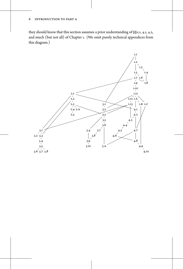#### 6 introduction to part a

they should know that this section assumes a prior understanding of §§2.1, 4.1, 4.2, and much (but not all) of Chapter 1. (We omit purely technical appendices from this diagram.)

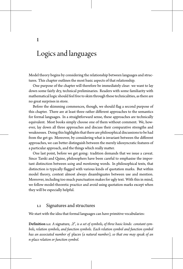1

Model theory begins by considering the relationship between languages and structures. This chapter outlines the most basic aspects of that relationship.

One purpose of the chapter will therefore be immediately clear: we want to lay down some fairly dry, technical preliminaries. Readers with some familiarity with mathematical logic should feel free to skim through these technicalities, as there are no great surprises in store.

Before the skimming commences, though, we should flag a second purpose of this chapter. There are at least three rather different approaches to the semantics for formal languages. In a straightforward sense, these approaches are technically equivalent. Most books simply choose one of them without comment. We, however, lay down all three approaches and discuss their comparative strengths and weaknesses. Doing this highlights that there are philosophical discussions to be had from the get-go. Moreover, by considering what is invariant between the different approaches, we can better distinguish between the merely idiosyncratic features of a particular approach, and the things which really matter.

One last point, before we get going: tradition demands that we issue a caveat. Since Tarski and Quine, philosophers have been careful to emphasise the important distinction between *using* and *mentioning* words. In philosophical texts, that distinction is typically flagged with various kinds of quotation marks. But within model theory, context almost always disambiguates between use and mention. Moreover, including too much punctuation makes for ugly text. With this in mind, we follow model-theoretic practice and avoid using quotation marks except when they will be especially helpful.

## 1.1 Signatures and structures

We start with the idea that formal languages can have primitive vocabularies:

Definition 1.1: *A* signature*, L , is a set of symbols, of three basic kinds: constant symbols, relation symbols, and function symbols. Each relation symbol and function symbol has an associated number of* places *(a natural number), so that one may speak of an n-place relation or function symbol.*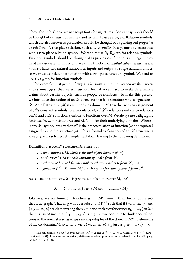Throughout this book, we use script fonts for signatures. Constant symbols should be thought of as *names* for entities, and we tend to use *c*1, *c*2, etc. Relation symbols, which are also known as predicates, should be thought of as picking out *properties* or *relations*. A two-place relation, such as *x is smaller than y*, must be associated with a two-place relation symbol. We tend to use  $R_1, R_2$ , etc. for relation symbols. Function symbols should be thought of as picking out functions and, again, they need an associated number of places: the function of *multiplication on the natural numbers* takes two natural numbers as inputs and outputs a single natural number, so we must associate that function with a two-place function symbol. We tend to use  $f_1$ ,  $f_2$ , etc. for function symbols.

The examples just given—*being smaller than*, and *multiplication on the natural numbers*—suggest that we will use our formal vocabulary to make determinate claims about certain objects, such as people or numbers. To make this precise, we introduce the notion of an  $L$ -structure; that is, a structure whose signature is *L* . An *L* -structure, *M*, is an underlying domain, *M*, together with an assignment of *L* 's constant symbols to elements of *M*, of *L* 's relation symbols to relations on *M*, and of *L* 's function symbols to functions over *M*. We always use calligraphic fonts *M*, *N*,… for structures, and *M*, *N*,… for their underlying domains. Where *s* is any *L* -symbol, we say that *s <sup>M</sup>* is the object, relation or function (as appropriate) assigned to *s* in the structure *M*. This informal explanation of an *L* -structure is always given a set-theoretic implementation, leading to the following definition:

#### Definition 1.2: *An L* -structure*, M, consists of:*

- *• a non-empty set, M, which is the underlying domain of M,*
- *• an object c<sup>M</sup>* <sup>∈</sup> *M for each constant symbol c from <sup>L</sup> ,*
- *• a relation R<sup>M</sup>* <sup>⊆</sup> *<sup>M</sup><sup>n</sup> for each n-place relation symbol R from L , and*
- *a function*  $f^{\mathcal{M}} : M^n \longrightarrow M$  for each *n*-place function symbol f from  $\mathcal{L}$ .

As is usual in set theory,  $M^n$  is just the set of *n*-tuples over M, i.e.:<sup>1</sup>

$$
M^n = \{(a_1, ..., a_n) : a_1 \in M \text{ and } ... \text{ and } a_n \in M\}
$$

Likewise, we implement a function  $g : M^n \longrightarrow M$  in terms of its settheoretic graph. That is, *g* will be a subset of  $M^{n+1}$  such that if  $(x_1, ..., x_n, y)$  and  $(x_1, ..., x_n, z)$  are elements of *g* then  $y = z$  and such that for every  $(x_1, ..., x_n)$  in  $M^n$ there is *y* in *M* such that  $(x_1, ..., x_n, y)$  is in *g*. But we continue to think about functions in the normal way, as maps sending *n*-tuples of the domain, *M<sup>n</sup>* , to elements of the co-domain, *M*, so tend to write  $(x_1, ..., x_n, y) \in g$  just as  $g(x_1, ..., x_n) = y$ .

<sup>&</sup>lt;sup>1</sup> The full definition of *X<sup>n</sup>* is by recursion:  $X^1 = X$  and  $X^{n+1} = X^n \times X$ , where  $A \times B = \{(a, b) : A \cup B \}$  is the set of  $B$  is the set of  $B$  is the set of  $A$  is the set of  $B$  is the set of  $B$  is the set of  $B$  is the *<sup>a</sup>* <sup>∈</sup> *<sup>A</sup>* and *<sup>b</sup>* <sup>∈</sup> *<sup>B</sup>*}. Likewise, we recursively define ordered *<sup>n</sup>*-tuples in terms of ordered pairs by setting e.g.  $(a, b, c) = ((a, b), c).$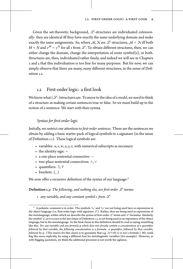Given the set-theoretic background, *L* -structures are individuated *extensionally*: they are identical iff they have exactly the same underlying domain and make exactly the same assignments. So, where  $M$ ,  $N$  are  $L$ -structures,  $M = N$  iff both  $M = N$  and  $s^M = s^N$  for all *s* from  $L$ . To obtain different structures, then, we can either change the domain, change the interpretation of some symbol $(s)$ , or both. Structures are, then, individuated rather finely, and indeed we will see in Chapters 2 and 5 that this individuation is too fine for many purposes. But for now, we can simply observe that there are many, *many* different structures, in the sense of Definition 1.2.

## 1.2 First-order logic: a first look

We know what ( $\mathscr{L}$ -)structures are. To move to the idea of a *model*, we need to think of a structure as making certain sentences true or false. So we must build up to the notion of a sentence. We start with their syntax.

### *Syntax for first-order logic*

Initially, we restrict our attention to *first-order sentences*. These are the sentences we obtain by adding a basic starter-pack of logical symbols to a signature (in the sense of Definition 1.1). These logical symbols are:

- variables:  $u, v, w, x, y, z$ , with numerical subscripts as necessary
- the identity sign:  $=$
- a one-place sentential connective:  $\neg$
- two-place sentential connectives: ∧, ∨
- quantifiers: ∃, ∀
- brackets:  $(,)$

We now offer a recursive definition of the syntax of our language:<sup>2</sup>

Definition 1.3: *The following, and nothing else, are first-order L* -terms*:*

*• any variable, and any constant symbol c from L*

 $2$  A pedantic comment is in order. The symbols  $'t_1$ ' and  $'t_2$ ' are not being used here as expressions in the object language (i.e. first-order logic with signature *L* ). Rather, they are being used as expressions of the metalanguage, within which we describe the syntax of first-order  $\mathscr L$ -terms and  $\mathscr L$ -formulas. Similarly, the symbol '*x*', as it occurs in the last clause of Definition 1.3, is not being used as an expression of the object language, but in the metalanguage. So the final clause in this definition should be read as saying something like this. *For any variable and any formula φ which does not already contain a concatenation of a quantifier followed by that variable, the following concatenation is a formula: a quantifier, followed by that variable, followed by <sup>φ</sup>*. (The reason for this clause is to guarantee that e.g. <sup>∃</sup>*v*∀*vF*(*v*) is not a formula.) We could flag this more explicitly, by using a different font for metalinguistic variables (for example). However, as with flagging quotation, we think the additional precision is not worth the ugliness.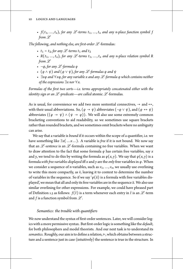•  $f(t_1, ..., t_n)$ , for any  $L$ -terms  $t_1, ..., t_n$  and any *n*-place function symbol f *from L*

*The following, and nothing else, are first-order L* -formulas*:*

- $t_1 = t_2$ , for any  $L$ -terms  $t_1$  and  $t_2$
- $R(t_1, ..., t_n)$ , for any  $L$ -terms  $t_1, ..., t_n$  and any *n*-place relation symbol R *from L*
- *•* ¬*φ, for any L -formula φ*
- *•* (*<sup>φ</sup>* <sup>∧</sup> *<sup>ψ</sup>*) *and* (*<sup>φ</sup>* <sup>∨</sup> *<sup>ψ</sup>*)*, for any <sup>L</sup> -formulas φ and ψ*
- *•* ∃*xφ and* ∀*xφ, for any variable x and any L -formula φ which contains neither of the expressions* ∃*x nor* ∀*x.*

*Formulas of the first two sorts—i.e. terms appropriately concatenated either with the identity sign or an L -predicate—are called* atomic *L* -formulas*.*

As is usual, for convenience we add two more sentential connectives,  $\rightarrow$  and  $\leftrightarrow$ , with their usual abbreviations. So,  $(\varphi \to \psi)$  abbreviates  $(\neg \varphi \lor \psi)$ , and  $(\varphi \leftrightarrow \psi)$ abbreviates  $((\varphi \rightarrow \psi) \land (\psi \rightarrow \varphi))$ . We will also use some extremely common bracketing conventions to aid readability, so we sometimes use square brackets rather than rounded brackets, and we sometimes omit brackets where no ambiguity can arise.

We say that a variable is *bound* if it occurs within the scope of a quantifier, i.e. we have something like <sup>∃</sup>*x*(…*x*…). A variable is *free* if it is not bound. We now say that an *L -sentence* is an *L* -formula containing no free variables. When we want to draw attention to the fact that some formula *φ* has certain free variables, say *x* and *y*, we tend to do this by writing the formula as  $\varphi(x, y)$ . We say that  $\varphi(x, y)$  is a formula *with free variables displayed* iff *x* and *y* are the *only*free variables in *φ*. When we consider a sequence of *n*-variables, such as  $v_1$ , ...,  $v_n$ , we usually use overlining to write this more compactly, as  $\bar{\nu}$ , leaving it to context to determine the number of variables in the sequence. So if we say  $\varphi(\bar{x})$  is a formula with free variables displayed', we mean that all and only its free variables are in the sequence  $\bar{x}$ . We also use similar overlining for other expressions. For example, we could have phrased part of Definition 1.3 as follows:  $f(\bar{t})$  is a term whenever each entry in  $\bar{t}$  is an  $\mathscr{L}$ -term and *f* is a function symbol from *L* .

#### *Semantics: the trouble with quantifiers*

We now understand the syntax of first-order sentences. Later, we will consider logics with a more permissive syntax. But first-order logic is something like the *default*, for both philosophers and model theorists. And our next task is to understand its *semantics*. Roughly, our aim is to define a relation,  $\models$ , which obtains between a structure and a sentence just in case (intuitively) the sentence is true in the structure. In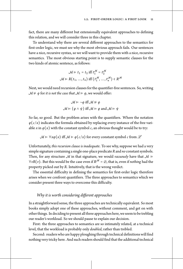fact, there are many different but extensionally equivalent approaches to defining this relation, and we will consider three in this chapter.

To understand why there are several different approaches to the semantics for first-order logic, we must see why the most obvious approach fails. Our sentences have a nice, recursive syntax, so we will want to provide them with a nice, recursive semantics. The most obvious starting point is to supply semantic clauses for the two kinds of atomic sentence, as follows:

$$
\mathcal{M} \vDash t_1 = t_2 \text{ iff } t_1^{\mathcal{M}} = t_2^{\mathcal{M}}
$$

$$
\mathcal{M} \vDash R(t_1, \dots, t_n) \text{ iff } (t_1^{\mathcal{M}}, \dots, t_n^{\mathcal{M}}) \in R^{\mathcal{M}}
$$

Next, we would need recursion clauses for the quantifier-free sentences. So, writing  $M \not\models \varphi$  for *it is not the case that*  $M \models \varphi$ , we would offer:

$$
\mathcal{M} \vDash \neg \varphi \text{ iff } \mathcal{M} \nvDash \varphi
$$

$$
\mathcal{M} \vDash (\varphi \land \psi) \text{ iff } \mathcal{M} \vDash \varphi \text{ and } \mathcal{M} \vDash \psi
$$

So far, so good. But the problem arises with the quantifiers. Where the notation  $\varphi(c/x)$  indicates the formula obtained by replacing every instance of the free variable *x* in  $\varphi(x)$  with the constant symbol *c*, an obvious thought would be to try:

 $\mathcal{M} \models \forall x \varphi(x)$  iff  $\mathcal{M} \models \varphi(c/x)$  for every constant symbol *c* from  $\mathcal{L}$ 

Unfortunately, *this recursion clause is inadequate*. To see why, suppose we had a very simple signature containing a single one-place predicate*R*and *no* constant symbols. Then, for any structure *M* in that signature, we would *vacuously* have that *M* ⊧ <sup>∀</sup>*vR*(*v*). But this would be the case even if *<sup>R</sup> <sup>M</sup>* <sup>=</sup> <sup>∅</sup>, that is, even if *nothing* had the property picked out by *R*. Intuitively, that is the wrong verdict.

The essential difficulty in defining the semantics for first-order logic therefore arises when we confront quantifiers. The three approaches to semantics which we consider present three ways to overcome this difficulty.

### *Why it is worth considering different approaches*

In a straightforward sense, the three approaches are technically equivalent. So most books simply adopt one of these approaches, without comment, and get on with other things. In deciding to present all three approaches here, we seem to be trebling our reader's workload. So we should pause to explain our decision.

First: the three approaches to semantics are so intimately related, at a technical level, that the workload is probably only *doubled*, rather than trebled.

Second: readers who are happy ploughing through technical definitions will find nothing very tricky here. And such readers should find that the additional technical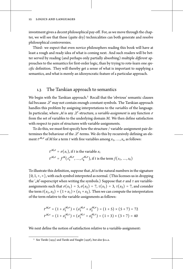investment gives a decent philosophical pay-off. For, as we move through the chapter, we will see that these (quite dry) technicalities can both generate and resolve philosophical controversies.

Third: we expect that even novice philosophers reading this book will have at least a rough and ready idea of what is coming next. And such readers will be better served by reading (and perhaps only partially absorbing) multiple *different* approaches to the semantics for first-order logic, than by trying to rote-learn one *specific* definition. They will thereby get a sense of what is important to supplying a semantics, and what is merely an idiosyncratic feature of a particular approach.

## 1.3 The Tarskian approach to semantics

We begin with the Tarskian approach.<sup>3</sup> Recall that the 'obvious' semantic clauses fail because *L* may not contain enough constant symbols. The Tarskian approach handles this problem by assigning interpretations to the *variables* of the language. In particular, where *M* is any *L* -structure, a *variable-assignment* is any function *σ* from the set of variables to the underlying domain *M*. We then define satisfaction with respect to pairs of structures with variable-assignments.

To do this, we must first specify how the structure / variable-assignment pair determines the behaviour of the *L* -terms. We do this by recursively defining an element  $t^{\mathcal{M}, \sigma}$  of  $M$  for a term  $t$  with free variables among  $x_1, ..., x_n$  as follows:

$$
t^{\mathcal{M}, \sigma} = \sigma(x_i), \text{ if } t \text{ is the variable } x_i
$$
  

$$
t^{\mathcal{M}, \sigma} = f^{\mathcal{M}}(s_1^{\mathcal{M}, \sigma}, \dots, s_k^{\mathcal{M}, \sigma}), \text{ if } t \text{ is the term } f(s_1, \dots, s_k)
$$

To illustrate this definition, suppose that *M* is the natural numbers in the signature  $\{0, 1, +, \times\}$ , with each symbol interpreted as normal. (This licenses us in dropping the '*M*'-superscript when writing the symbols.) Suppose that *σ* and *τ* are variableassignments such that  $\sigma(x_1) = 5$ ,  $\sigma(x_2) = 7$ ,  $\tau(x_1) = 3$ ,  $\tau(x_2) = 7$ , and consider the term  $t(x_1, x_2) = (1+x_1) \times (x_1+x_2)$ . Then we can compute the interpretation of the term relative to the variable-assignments as follows:

$$
t^{\mathcal{M}, \sigma} = (1 + x_1^{\mathcal{M}, \sigma}) \times (x_1^{\mathcal{M}, \sigma} + x_2^{\mathcal{M}, \sigma}) = (1 + 5) \times (5 + 7) = 72
$$
  

$$
t^{\mathcal{M}, \tau} = (1 + x_1^{\mathcal{M}, \tau}) \times (x_1^{\mathcal{M}, \tau} + x_2^{\mathcal{M}, \tau}) = (1 + 3) \times (3 + 7) = 40
$$

We next define the notion of satisfaction relative to a variable-assignment:

<sup>3</sup> See Tarski (1933) and Tarski and Vaught (1958), but also §12.a.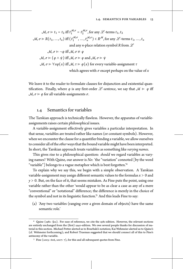$M, \sigma \models t_1 = t_2 \text{ iff } t_1^{M, \sigma} = t_2^{M, \sigma}$  $\mathcal{L}$ <sup>2</sup>, for any  $\mathcal{L}$ -terms  $t_1, t_2$  $M, \sigma \models R(t_1, ..., t_n)$  iff  $(t_1^{M, \sigma})$  $\binom{\mathcal{M}, \sigma}{1}$ ,  $\ldots$ ,  $t_n^{\mathcal{M}, \sigma}$ )  $\in R^{\mathcal{M}}$ , for any  $\mathcal{L}$ -terms  $t_1$ ,  $\ldots$ ,  $t_n$ and any *n*-place relation symbol *R* from *L M*, *σ*  $\models \neg$ *φ* iff *M*, *σ*  $\models$  *φ*  $M, \sigma \models (\varphi \land \psi)$  iff  $M, \sigma \models \varphi$  and  $M, \sigma \models \psi$  $M, \sigma \models \forall x \varphi(x)$  iff  $M, \tau \models \varphi(x)$  for every variable-assignment  $\tau$ which agrees with *σ* except perhaps on the value of *x*

We leave it to the reader to formulate clauses for disjunction and existential quantification. Finally, where  $\varphi$  is any first-order *L* -*sentence*, we say that  $\mathcal{M} \models \varphi$  iff  $M$ , *σ* ⊨ *φ* for all variable-assignments *σ*.

## 1.4 Semantics for variables

The Tarskian approach is technically flawless. However, the apparatus of variableassignments raises certain philosophical issues.

A variable-assignment effectively gives variables a particular interpretation. In that sense, variables are treated rather like names (or constant symbols). However, when we encounter the clause for a quantifier binding a variable, we allow ourselves to consider all ofthe *other*waysthatthe bound variable might have been interpreted. In short, the Tarskian approach treats variables as something like *varying names*.

This gives rise to a philosophical question: *should* we regard variables as varying names? With Quine, our answer is *No*: 'the "variation" connoted [by the word "variable"] belongs to a vague metaphor which is best forgotten.'<sup>4</sup>

To explain why we say this, we begin with a simple observation. A Tarskian variable-assignment may assign different semantic values to the formulas  $x > 0$  and *<sup>y</sup>* <sup>&</sup>gt; 0. But, on the face of it, that seems mistaken. As Fine puts the point, using one variable rather than the other 'would appear to be as clear a case as any of a mere "conventional" or "notational" difference; the difference is merely in the choice of the symbol and not in its linguistic function.'<sup>5</sup> And this leads Fine to say:

(a) 'Any two variables (ranging over a given domain of objects) have the same semantic role.'

<sup>4</sup> Quine (1981: §12). For ease of reference, we cite the 1981-edition. However, the relevant sections are entirely unchanged from the (first) 1940-edition. We owe several people thanks for discussion of material in this section. Michael Potter alerted us to Bourbaki's notation; Kai Wehmeier alerted us to Quine's (cf. Wehmeier forthcoming); and Robert Trueman suggested that we should connect all of this to Fine's antinomy of the variable.

<sup>&</sup>lt;sup>5</sup> Fine (2003: 606, 2007: 7), for this and all subsequent quotes from Fine.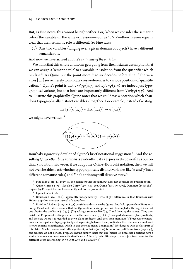But, as Fine notes, this cannot be right either. For, 'when we consider the semantic role of the variables in the same expression—such as " $x > y$ "—then it seems equally clear that their semantic role is different.' So Fine says:

(b) 'Any two variables (ranging over a given domain of objects) have a different semantic role.'

And now we have arrived at Fine's *antinomy of the variable*.

We think that this whole antinomy gets going from the mistaken assumption that we can assign a 'semantic role' to a variable in isolation from the quantifier which binds it.<sup>6</sup> As Quine put the point more than six decades before Fine: 'The variables […] serve merely to indicate cross-references to various positions of quantification.'<sup>7</sup> Quine's point is that <sup>∃</sup>*x*∀*yφ*(*x*,*y*) and <sup>∃</sup>*y*∀*xφ*(*y*, *<sup>x</sup>*) are indeed just typographical variants, but that both are importantly different from <sup>∀</sup>*x*∃*yφ*(*x*,*y*). And to illustrate this graphically, Quine notes that we could use a notation which abandons typographically distinct variables altogether. For example, instead of writing:

$$
\exists x \forall y ((\varphi(x,y) \land \exists z \varphi(x,z)) \rightarrow \varphi(y,x))
$$

we might have written:<sup>8</sup>



Bourbaki rigorously developed Quine's brief notational suggestion.<sup>9</sup> And the resulting*Quine–Bourbaki notation* is evidently just as expressively powerful as our ordinary notation. However, if we adopt the Quine–Bourbaki notation, then we will not even be able to *ask* whether typographically distinct variables like '*x*' and '*y*' have different 'semantic roles', and Fine's antinomy will dissolve away.<sup>10</sup>

 $6$  Fine (2003: 610-14, 2007: 12-16) considers this thought, but does not consider the present point.

<sup>7</sup> Quine (1981: 69–70). See also Curry (1933: 389–90), Quine (1981: iv, 5, 71), Dummett (1981: ch.1), Kaplan (1986: 244), Lavine (2000: 5–6), and Potter (2000: 64).

<sup>8</sup> Quine (1981: §12).

<sup>9</sup> Bourbaki (1954: ch.1), apparently independently. The slight difference is that Bourbaki uses Hilbert's epsilon operator instead of quantifiers.

<sup>&</sup>lt;sup>10</sup> Pickel and Rabern (2017: 148-52) consider and criticise the Quine–Bourbaki approach to Fine's antinomy. Pickel and Rabern assume that the Quine–Bourbaki approach will be coupled with Frege's idea that one obtains the predicate '( )  $\leq$  ( )' by taking a sentence like '7  $\leq$  7' and deleting the names. They then insist that Frege must distinguish between the case when '( )  $\le$  ( )' is regarded as a one-place predicate, and the case where it is regarded as a two-place predicate. And they then maintain: 'if Frege were to introduce marks capable of typographically distinguishing between these predicates, then that mark would need its own semantic significance, which in this context means designation.' We disagree with the last part of this claim. *Brackets* are semantically significant, in that  $\neg(\phi \land \psi)$  is importantly different from  $(\neg \phi \land \psi)$ ; but brackets do not denote. Fregeans should simply insist that any 'marks' on predicate-positions have a similarly *non-denotational* semantic significance. After all, their ultimate purpose is just to account for the different 'cross-referencing' in  $\forall x \exists y \varphi(x, y)$  and  $\forall x \exists y \varphi(y, x)$ .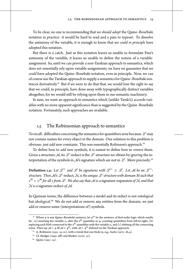To be clear, no one is recommending that we *should adopt* the Quine–Bourbaki notation in practice: it would be hard to read and a pain to typeset. To dissolve the antimony of the variable, it is enough to know that we *could in principle* have adopted this notation.

But there is a catch. Just as this notation leaves us unable to formulate Fine's antinomy of the variable, it leaves us unable to define the notion of a variableassignment. So, until we can provide a non-Tarskian approach to semantics, which does *not* essentially rely upon variable-assignments, we have no guarantee that we *could* have adopted the Quine–Bourbaki notation, even in principle. Now, we can of course use the Tarskian approach to supply a semantics for Quine–Bourbaki sentences derivatively.<sup>11</sup> But if we were to do that that, we would lose the right to say that we could, in principle, have done away with typographically distinct variables altogether, for we would still be relying upon them in our semantic machinery.

In sum, we want an approach to semantics which (unlike Tarski's) accords variables with no more apparent significance than is suggested by the Quine–Bourbaki notation. Fortunately, such approaches are available.

## 1.5 The Robinsonian approach to semantics

To recall: difficulties concerning the semantics for quantifiers arise because  $L$  may not contain names for every object in the domain. One solution to this problem is obvious: just *add* new constants. This was essentially Robinson's approach.<sup>12</sup>

To define how to *add* new symbols, it is easiest to define how to *remove* them. Given a structure *M*, its *L* -reduct is the *L* -structure we obtain by *ignoring* the interpretation of the symbols in  $\mathcal{M}$ s signature which are not in  $\mathcal{L}$ . More precisely:<sup>13</sup>

**Definition 1.4:** Let  $\mathcal{L}^+$  and  $\mathcal{L}$  be signatures with  $\mathcal{L}^+$  ⊇  $\mathcal{L}$ . Let  $\mathcal{M}$  be an  $\mathcal{L}^+$ *structure. ThenM*'s *L* -reduct*, N, is the unique L -structure with domain M such that s <sup>N</sup>* <sup>=</sup> *<sup>s</sup> <sup>M</sup> for all s from L . We also say thatM is a* signature-expansion *of N, and that N is a* signature-reduct *of M.*

In Quinean terms, the difference between a model and its reduct is not *ontological* but *ideological*. <sup>14</sup> We do not add or remove any entities from the domain; we just add or remove some (interpretations of) symbols.

 $^{\rm 11}$  Where φ is any Quine–Bourbaki sentence, let φ<sup>fo</sup> be the sentence of first-order logic which results by: (a) inserting the variable  $v_n$  after the  $n^{\rm th}$  quantifier in  $\phi$ , counting quantifiers from left-to-right; (b) replacing each blob connected to the  $n^{\text{th}}$ -quantifier with the variable  $v_n$  and  $(c)$  deleting all the connecting wires. Then say  $M \vDash \varphi$  iff  $M \vDash \varphi^{fo}$ , with  $M \vDash \varphi^{fo}$  defined via the Tarskian approach.

<sup>&</sup>lt;sup>12</sup> A. Robinson (1951: 19-21), with a tweak that one finds in, e.g., Sacks (1972: ch.4).

<sup>13</sup> Cf. Hodges (1993: 9ff) and Marker (2002: 31).

<sup>14</sup> Quine (1951: 14).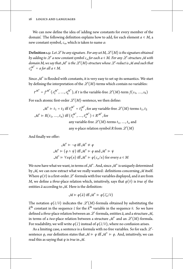We can now define the idea of 'adding new constants for every member of the domain'. The following definition explains how to add, for each element  $a \in M$ , a new constant symbol, *ca*, which is taken to name *a*:

**Definition 1.5:** Let  $\mathscr L$  be any signature. For any set M,  $\mathscr L(M)$  is the signature obtained *by adding to <sup>L</sup> a new constant symbol c<sup>a</sup> for each a* <sup>∈</sup> *M. For any <sup>L</sup> -structure M with domain M, we say thatM*○ *is the L* (*M*)*-structure whose L -reduct isM and such that*  $c_a^{\mathcal{M}^\circ} = a$  for all  $a \in M$ .

Since  $\mathcal{M}^{\circ}$  is flooded with constants, it is very easy to set up its semantics. We start by defining the interpretation of the  $\mathscr{L}(M)$ -terms which contain no variables:

$$
t^{\mathcal{M}^{\circ}} = f^{\mathcal{M}^{\circ}}(s_1^{\mathcal{M}^{\circ}}, ..., s_k^{\mathcal{M}^{\circ}}),
$$
 if *t* is the variable-free  $\mathcal{L}(M)$ -term  $f(s_1, ..., s_k)$ 

For each atomic first-order  $\mathscr{L}(M)$ -sentence, we then define:

$$
\mathcal{M}^{\circ} \vDash t_{1} = t_{2} \text{ iff } t_{1}^{\mathcal{M}^{\circ}} = t_{2}^{\mathcal{M}^{\circ}}, \text{ for any variable-free } \mathcal{L}(M) \text{-terms } t_{1}, t_{2}
$$
\n
$$
\mathcal{M}^{\circ} \vDash R(t_{1}, ..., t_{n}) \text{ iff } (t_{1}^{\mathcal{M}^{\circ}}, ..., t_{n}^{\mathcal{M}^{\circ}}) \in R^{\mathcal{M}^{\circ}}, \text{ for}
$$
\n
$$
\text{any variable-free } \mathcal{L}(M) \text{-terms } t_{1}, ..., t_{n} \text{ and}
$$
\n
$$
\text{any } n \text{-place relation symbol } R \text{ from } \mathcal{L}(M)
$$

And finally we offer:

$$
\mathcal{M}^{\circ} \vDash \neg \varphi \text{ iff } \mathcal{M}^{\circ} \nvDash \varphi
$$

$$
\mathcal{M}^{\circ} \vDash (\varphi \land \psi) \text{ iff } \mathcal{M}^{\circ} \vDash \varphi \text{ and } \mathcal{M}^{\circ} \vDash \psi
$$

$$
\mathcal{M}^{\circ} \vDash \forall x \varphi(x) \text{ iff } \mathcal{M}^{\circ} \vDash \varphi(c_a/x) \text{ for every } a \in M
$$

We now have what we want, in terms of*M*○ . And, since*M*○ is uniquely determined by *M*, we can now extract what we really wanted: definitions concerning *M* itself. Where  $\varphi(\bar{v})$  is a first-order  $\mathscr L$ -formula with free variables displayed, and  $\bar{a}$  are from *M*, we define a *three*-place relation which, intuitively, says that  $\varphi(\bar{v})$  is *true of* the entities *a* according to *M*. Here is the definition:

$$
\mathcal{M} \vDash \varphi(\bar{a}) \text{ iff } \mathcal{M}^{\circ} \vDash \varphi(\overline{c_a}/\overline{\nu})
$$

The notation  $\varphi(\bar{c}/\bar{v})$  indicates the  $\mathscr{L}(M)$ -formula obtained by substituting the  $k^{\text{th}}$  constant in the sequence  $\bar{c}$  for the  $k^{\text{th}}$  variable in the sequence  $\bar{\nu}$ . So we have defined a *three*-place relation between an *L* -formula, entities *a*, and a structure*M*, in terms of a *two-*place relation between a structure  $\mathcal{M}^{\circ}$  and an  $\mathscr{L}(M)$ -formula. For readability, we will write  $\varphi(\bar{c})$  instead of  $\varphi(\bar{c}/\bar{v})$ , where no confusion arises.

As a limiting case, a sentence is a formula with no free variables. So for each *L* sentence *φ*, our definition states that  $M \vDash φ$  iff  $M^\circ \vDash φ$ . And, intuitively, we can read this as saying that *φ* is *true* in *M*.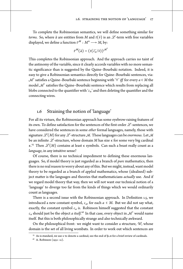To complete the Robinsonian semantics, we will define something similar for *terms.* So, where  $\bar{a}$  are entities from *M* and  $t(\bar{v})$  is an  $\mathscr{L}$ -term with free variables displayed, we define a function  $t^{\mathcal{M}} : M^n \longrightarrow M$ , by:

$$
t^{\mathcal{M}}(\bar{a})=(t(\overline{c_a}/\bar{\nu}))^{\mathcal{M}^{\circ}}
$$

This completes the Robinsonian approach. And the approach carries no taint of the antinomy of the variable, since it clearly accords variables with no more semantic significance than is suggested by the Quine–Bourbaki notation. Indeed, it is easy to give a Robinsonian semantics directly for Quine–Bourbaki sentences, via: *M*○ satisfies a Quine–Bourbaki sentence beginning with '∀' *iff* for every *<sup>a</sup>* <sup>∈</sup> *<sup>M</sup>* the model *M*○ satisfies the Quine–Bourbaki sentence which results from replacing all blobs connected to the quantifier with '*ca*' and then deleting the quantifier and the connecting wires.

## 1.6 Straining the notion of 'language'

For all its virtues, the Robinsonian approach has some eyebrow-raising features of its own. To define satisfaction for the sentences of the first-order *L* -sentences, we have considered the sentences in some *other* formal languages, namely, those with signature  $\mathscr{L}(M)$  for any  $\mathscr{L}$ -structure M. These languages can be *enormous*. Let M be an infinite *L* -structure, whose domain *M* has size *κ* for some very big cardinal *κ*. <sup>15</sup> Then *<sup>L</sup>* (*M*) contains at least *<sup>κ</sup>* symbols. Can such a beast really count as a *language*, in any intuitive sense?

Of course, there is no technical impediment to defining these enormous languages. So, if model theory is just regarded as a branch of *pure* mathematics, then there is no real reason to worry about any of this. But we might, instead, want model theory to be regarded as a branch of *applied* mathematics, whose (idealised) subject matter is the languages and theories that mathematicians *actually* use. And if we regard model theory that way, then we will not want our technical notion of a 'language' to diverge too far from the kinds of things which we would ordinarily count as languages.

There is a second issue with the Robinsonian approach. In Definition 1.5, we introduced a new constant symbol,  $c_a$ , for each  $a \in M$ . But we did not say what, exactly, the constant symbol  $c_a$  *is*. Robinson himself suggested that the constant  $c_a$  should just be the object *a itself*.<sup>16</sup> In that case, every object in  $\mathcal{M}^{\circ}$  would name itself. But this is both philosophically strange and also technically awkward.

On the philosophical front: we might want to consider a structure, *W*, whose domain is the set of all living wombats. In order to work out which sentences are

<sup>&</sup>lt;sup>15</sup> As is standard, we use  $\kappa$  to denote a cardinal; see the end of §1.B for a brief review of cardinals.

<sup>16</sup> A. Robinson (1951: 21).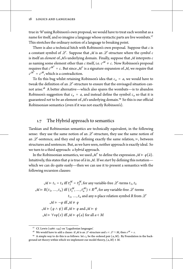true in *W* using Robinson's own proposal, we would have to treat each wombat as a name for itself, and so imagine a language whose syntactic parts are live wombats.<sup>17</sup> This stretches the ordinary notion of a language to breaking point.

There is also a technical hitch with Robinson's own proposal. Suppose that *c* is a constant symbol of *L* . Suppose that *M* is an *L* -structure where the *symbol c* is itself an *element* of *M*'s underlying domain. Finally, suppose that *M* interprets *c* as naming some element other than *c* itself, i.e.  $c^M \neq c$ . Now Robinson's proposal requires that  $c^{\mathcal{M}^{\circ}} = c$ . But since  $\mathcal{M}^{\circ}$  is a signature expansion of  $\mathcal{M}$ , we require that  $c^{\mathcal{M}^{\circ}} = c^{\mathcal{M}}$ , which is a contradiction.

To fix this bug whilst retaining Robinson's idea that *<sup>c</sup><sup>a</sup>* <sup>=</sup> *<sup>a</sup>*, we would have to tweak the definition of an *L* -structure to ensure that the envisaged situation cannot arise.<sup>18</sup> A better alternative—which also spares the wombats—is to abandon Robinson's suggestion that  $c_a = a$ , and instead define the symbol  $c_a$  so that it is guaranteed *not* to be an element of *M*'s underlying domain.<sup>19</sup> So this is our official Robinson*ian* semantics (even if it was not exactly Robinson's).

## 1.7 The Hybrid approach to semantics

Tarskian and Robinsonian semantics are technically equivalent, in the following sense: they use the same notion of an *L* -structure, they use the same notion of an *L* -sentence, and they end up defining exactly the same relation, ⊨, between structures and sentences. But, as we have seen, neither approach is exactly ideal. So we turn to a third approach: a *hybrid* approach.

In the Robinsonian semantics, we used  $\mathcal{M}^{\circ}$  to define the expression  $\mathcal{M} \vDash \varphi(\bar{a})$ . Intuitively, this states that *φ* is true of *a* in*M*. If we *start* by defining this notation which we can do quite easily—then we can use it to present a semantics with the following recursion clauses:

 $\mathcal{M} \models t_1 = t_2$  iff  $t_1^{\mathcal{M}} = t_2^{\mathcal{M}}$ , for any variable-free  $\mathcal{L}$ -terms  $t_1, t_2$  $\mathcal{M} \vDash R(t_1, ..., t_n)$  iff  $(t_1^{\mathcal{M}}, ..., t_n^{\mathcal{M}}) \in R^{\mathcal{M}}$ , for any variable-free  $\mathcal{L}$ -terms  $t_1$ , ...,  $t_n$  and any *n*-place relation symbol *R* from  $\mathscr L$  $M$  ⊨ ¬*φ* iff  $M$  ⊭ *φ*  $\mathcal{M} \models (\varphi \land \psi)$  iff  $\mathcal{M} \models \varphi$  and  $\mathcal{M} \models \psi$  $\mathcal{M} \models \forall v \varphi(v)$  iff  $\mathcal{M} \models \varphi(a)$  for all  $a \in M$ 

<sup>&</sup>lt;sup>17</sup> Cf. Lewis (1986: 145) on 'Lagadonian languages'.

<sup>&</sup>lt;sup>18</sup> We would have to add a clause: if *M* is an  $\mathscr L$ -structure and  $s \in \mathscr L \cap M$ , then  $s^{\mathscr M} = s$ .

<sup>&</sup>lt;sup>19</sup> A simple way to do this is as follows: let  $c_a$  be the ordered pair  $(a, M)$ . By Foundation in the background set theory within which we implement our model theory,  $(a, M) \notin M$ .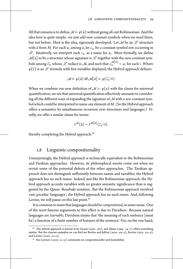All that remains is to define  $\mathcal{M} \models \varphi(\bar{a})$  without going all-out Robinsonian. And the idea here is quite simple: we just add new constant symbols when we need them, but not before. Here is the idea, rigorously developed. Let *M* be an *L* -structure with  $\bar{a}$  from  $M$ . For each  $a_i$  among  $\bar{a}$ , let  $c_{a_i}$  be a constant symbol not occurring in  $L$ . Intuitively, we interpret each  $c_{a_i}$  as a name for  $a_i$ . More formally, we define  $\mathcal{M}[\bar{a}]$  to be a structure whose signature is  $\mathscr L$  together with the new constant symbols among  $\overline{c}_a$ , whose  $\mathcal{L}$ -reduct is  $\mathcal{M}$ , and such that  $c_a^{\mathcal{M}[\bar{a}]} = a_i$  for each *i*. Where  $\varphi(\bar{v})$  is an  $\mathscr L$ -formula with free variables displayed, the Hybrid approach defines:

$$
\mathcal{M} \vDash \varphi(\bar{a}) \text{ iff } \mathcal{M}[\bar{a}] \vDash \varphi(\overline{c_a}/\overline{v})
$$

When we combine our new definition of  $\mathcal{M} \models \varphi(a)$  with the clause for universal quantification, we see that universal quantification effectively amounts to considering all the different ways of expanding the signature of *M* with a *new* constant symbol which could be interpreted to name *any* element of *M*. (So the Hybrid approach offers a semantics by simultaneous recursion over structures and languages.) Finally, we offer a similar clause for terms:

$$
t^{\mathcal{M}}(\bar{a})=t^{\mathcal{M}[\bar{a}]}(\bar{c}_a/\bar{\nu})
$$

thereby completing the Hybrid approach.<sup>20</sup>

## 1.8 Linguistic compositionality

Unsurprisingly, the Hybrid approach is technically equivalent to the Robinsonian and Tarskian approaches. However, its philosophical merits come out when we revisit some of the potential defects of the other approaches. The Tarskian approach does not distinguish sufficiently between names and variables; the Hybrid approach has no such issues. Indeed, just like the Robinsonian approach, the Hybrid approach accords variables with no greater semantic significance than is suggested by the Quine–Bourbaki notation. But the Robinsonian approach involved vast, peculiar 'languages'; the Hybrid approach has no such issues. And, following Lavine, we will pause on this last point.<sup>21</sup>

It is commonto insistthat languages should be *compositional*, in some sense. One of the most famous arguments to this effect is due to Davidson. Because natural languages are *learnable*, Davidson insists that 'the meaning of each sentence [must be] a function of a finite number of features of the sentence'. For, on the one hand,

<sup>&</sup>lt;sup>20</sup> The hybrid approach is hinted at by Geach (1962: 160), and Mates (1965: 54-7) offers something similar. But the clearest examples we can find are Boolos and Jeffrey (1974: 104–5), Boolos (1975: 513–4), and Lavine (2000: 10–12).

<sup>&</sup>lt;sup>21</sup> See Lavine's (2000: 12-13) comments on compositionality and learnability.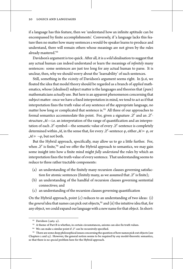if a language has this feature, then we 'understand how an infinite aptitude can be encompassed by finite accomplishments'. Conversely, if 'a language lacks this feature then no matter how many sentences a would-be speaker learns to produce and understand, there will remain others whose meanings are not given by the rules already mastered.'22

Davidson's argument is too quick. After all, it is a *wild* idealisation to suggest that any actual human can indeed understand or learn the meanings of *infinitely* many sentences: some sentences are just too long for any actual human to parse. It is unclear, then, why we should worry about the 'learnability' of such sentences.

Still, something in the *vicinity* of Davidson's argument seems right. In §1.6, we floated the idea that model theory should be regarded as a branch of *applied* mathematics, whose (idealised) subject matter is the languages and theories that (pure) mathematicians *actually* use. But here is an apparent phenomenon concerning that subject matter: once we have a fixed interpretation in mind, we tend to act as if that interpretation fixes the truth value of *any* sentence of the appropriate language, no matter how long or complicated that sentence is.<sup>23</sup> All three of our approaches to formal semantics accommodate this point. For, given a signature *L* and an *L* structure *M*—i.e. an interpretation of the range of quantification and an interpretation of each *L* -symbol—the semantic value of every *L* -sentence is completely determined within *M*, in the sense that, for every *L* -sentence  $\varphi$ , either  $\mathcal{M} \models \varphi$ , or  $M \models \neg \varphi$ , but not both.

But the Hybrid approach, specifically, may allow us to go a little further. For, when  $L$  is finite,<sup>24</sup> and we offer the Hybrid approach to semantics, we may gain some insight into how a finite mind might *fully understand* the rules by which an interpretation fixes the truth-value of every sentence. That understanding seems to reduce to three rather tractable components:

- (a) an understanding of the finitely many recursion clauses governing satisfaction for atomic sentences (finitely many, as we assumed that *L* is finite);
- (b) an understanding of the handful of recursion clauses governing sentential connectives; and
- (c) an understanding of the recursion clauses governing quantification

On the Hybrid approach, point (c) reduces to an understanding of two ideas: (i) the *general* idea that names can pick out objects,<sup>25</sup> and (ii) the intuitive idea that, for any object, we could expand our language with a new name for that object. In short:

<sup>&</sup>lt;sup>22</sup> Davidson (1965: 9).

<sup>&</sup>lt;sup>23</sup> A theme of Part B is whether, in certain circumstances, axioms can also fix truth values.

 $^{24}~$  We can make a similar point if  ${\mathscr L}$  can be recursively specified.

 $^{25}$  There are some deep philosophical issues concerning the question of how names pick out objects (see Chapters 2 and 15). However, the general notion seems to be required by *any* model-theoretic semantics, so that there is no *special* problem here for the Hybrid approach.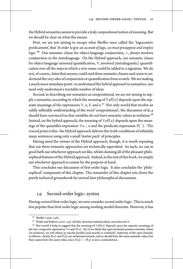the Hybrid semantics seemsto provide atruly *compositional* notion of meaning. But we should be clear on what this means.

First, we are not aiming to escape what Sheffer once called the 'logocentric predicament', that '*In order to give an account of logic, we must presuppose and employ logic.*' <sup>26</sup> Our semantic clause for object-language conjunction, ∧, always involves conjunction in the metalanguage. On the Hybrid approach, our semantic clause for object-language universal quantification, ∀, involved (metalinguistic) quantification over all the ways in which a new name could be added to a signature. We do not, of course, claim that anyone could read these semantic clauses and come to *understand* the very idea of conjunction or quantification from scratch. We are making a much more mundane point: to understand the hybrid approach to semantics, one need only understand a tractable number of ideas.

Second, in describing our semantics as compositional, we are *not* aiming to supply a semantics according to which the meaning of <sup>∀</sup>*xF*(*x*) depends upon the separate meanings of the expressions ∀, *x*, *F*, and *x*. <sup>27</sup> Not only would that involve an oddly inflexible understanding of the word 'compositional'; the discussion of §1.4 should have convinced us that variables do not have semantic values in isolation.<sup>28</sup> Instead, on the hybrid approach, the meaning of  $\forall x F(x)$  depends upon the meanings of the quantifier-expression <sup>∀</sup>*x*…*<sup>x</sup>* and the predicate-expression *<sup>F</sup>*( ). The crucial point is this: the Hybrid approach delivers the truth-conditions of infinitely many sentences using only a small 'starter pack' of principles.

Having aired the virtues of the Hybrid approach, though, it is worth repeating that our three semantic approaches are technically equivalent. As such, we can in good faith use whichever approach we like, whilst claiming all of the pleasant philosophical features of the Hybrid approach. Indeed, in the rest of this book, we simply use whichever approach is easiest for the purpose at hand.

This concludes our discussion of first-order logic. It also concludes the 'philosophical' component of this chapter. The remainder of this chapter sets down the purely technical groundwork for several later philosophical discussions.

## 1.9 Second-order logic: syntax

Having covered first-order logic, we now consider *second*-order logic. This is much less popular than first-order logic among working model-theorists. However, it has

<sup>26</sup> Sheffer (1926: 228).

 $^{27}$  Pickel and Rabern (2017: 155) call this 'structure intrinsicalism', and advocate it.

<sup>28</sup> Nor would it help to suggest that the meaning of <sup>∀</sup>*xF*(*x*) depends upon the separate meanings of the two composite expressions  $\forall x$  and  $F(x)$ . For if we think that open formulas possess semantic values (in isolation), we will obtain an exactly parallel (and exactly as confused) 'antinomy of the open formula' as follows: clearly  $F(x)$  and  $F(y)$  are notational variants, and so should have the same semantic value; but they cannot have the same value, since  $F(x) \wedge \neg F(y)$  is not a contradiction.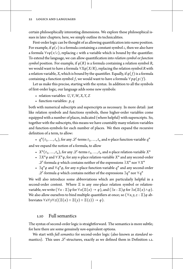certain philosophically interesting dimensions. We explore these philosophical issues in later chapters; here, we simply outline its technicalities.

First-order logic can be thought of as allowing quantification into *name* position. For example, if  $\varphi(c)$  is a formula containing a constant symbol *c*, then we also have a formula <sup>∀</sup>*vφ*(*v*/*c*), replacing *<sup>c</sup>* with a variable which is bound by the quantifier. To extend the language, we can allow quantification into *relation symbol* or *function symbol* position. For example, if *φ*(*R*) is a formula containing a relation symbol *R*, we would want to have a formula <sup>∀</sup>*Xφ*(*X*/*R*), replacing the relation symbol *<sup>R</sup>* with a relation-variable, *X*, which is bound by the quantifier. Equally, if  $\varphi(f)$  is a formula containing a function symbol *f*, we would want to have a formula  $\forall p \phi(p/f)$ .

Let us make this precise, starting with the syntax. In addition to all the symbols of first-order logic, our language adds some new symbols:

- relation-variables: *U*,*V*, *W*,*X*, *Y*, *Z*
- function-variables: *p*, *q*

both with numerical subscripts and superscripts as necessary. In more detail: just like relation symbols and functions symbols, these higher-order variables come equipped with a number of places, indicated (where helpful) with superscripts. So, together with the subscripts, this means we have countably many relation-variables and function-symbols for each number of places. We then expand the recursive definition of a term, to allow:

•  $q^n(t_1, ..., t_n)$ , for any  $\mathscr L$ -terms  $t_1, ..., t_n$  and *n*-place function-variable  $q^n$ and we expand the notion of a formula, to allow

- $X^n(t_1, ..., t_n)$ , for any  $\mathscr L$ -terms  $t_1, ..., t_n$  and *n*-place relation-variable  $X^n$
- $\exists X^n \varphi$  and  $\forall X^n \varphi$ , for any *n*-place relation-variable  $X^n$  and any second-order  $\mathscr{L}$ -formula φ which contains neither of the expressions  $\exists X^n$  nor  $\forall X^n$
- $\exists q^n \varphi$  and ∀ $q^n \varphi$ , for any *n*-place function-variable  $q^n$  and any second-order  $\mathscr{L}$ -formula φ which contains neither of the expressions ∃q<sup>n</sup> nor  $\forall$  q<sup>n</sup>

We will also introduce some abbreviations which are particularly helpful in a second-order context. Where Ξ is any one-place relation symbol or relationvariable, we write  $(\forall x : \Xi) \varphi$  for  $\forall x (\Xi(x) \to \varphi)$ , and  $(\exists x : \Xi) \varphi$  for  $\exists x (\Xi(x) \land \varphi)$ . We also allow ourselves to bind multiple quantifiers at once; so (∀*x*,*y*, *<sup>z</sup>* : Ξ)*<sup>φ</sup>* abbreviates  $\forall x \forall y \forall z ((\Xi(x) \land \Xi(y) \land \Xi(z)) \rightarrow \varphi).$ 

## 1.10 Full semantics

The syntax of second-order logic is straightforward. The semantics is more subtle; for here there are some genuinely *non*-equivalent options.

We start with *full semantics* for second-order logic (also known as *standard* semantics). This uses  $L$ -structures, exactly as we defined them in Definition 1.2.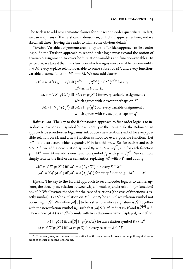The trick is to add new semantic clauses for our second-order quantifiers. In fact, we can adopt any of the Tarskian, Robinsonian, or Hybrid approaches here, and we sketch all three (leaving the reader to fill in some obvious details).

*Tarskian.* Variable-assignments arethe keytothe Tarskian approachtofirst-order logic. So the Tarskian approach to second-order logic must expand the notion of a variable-assignment, to cover both relation-variables and function-variables. In particular, we take it that  $\sigma$  is a function which assigns every variable to some entity  $a \in M$ , every *n*-place relation-variable to some subset of  $M^n$ , and every functionvariable to some function  $M^n\longrightarrow M.$  We now add clauses:

$$
\mathcal{M}, \sigma \vDash X^{n}(t_{1}, ..., t_{n}) \text{ iff } (t_{1}^{\mathcal{M}, \sigma}, ..., t_{n}^{\mathcal{M}, \sigma}) \in (X^{n})^{\mathcal{M}, \sigma} \text{ for any}
$$
  

$$
\mathcal{L}\text{-terms } t_{1}, ..., t_{n}
$$
  

$$
\mathcal{M}, \sigma \vDash \forall X^{n} \varphi(X^{n}) \text{ iff } \mathcal{M}, \tau \vDash \varphi(X^{n}) \text{ for every variable-assignment } \tau
$$
  
which agrees with  $\sigma$  except perhaps on  $X^{n}$   

$$
\mathcal{M}, \sigma \vDash \forall q^{n} \varphi(q^{n}) \text{ iff } \mathcal{M}, \tau \vDash \varphi(q^{n}) \text{ for every variable-assignment } \tau
$$
  
which agrees with  $\sigma$  except perhaps on  $q^{n}$ 

*Robinsonian.* The key to the Robinsonian approach to first-order logic is to introduce a new constant symbol for every entity in the domain. So the Robinsonian approach to second-order logic must introduce a new relation symbol for every possible relation on *M*, and a new function symbol for every possible function. Let  ${\cal M}^{\bullet}$  be the structure which expands  ${\cal M}$  in just this way. So, for each  $n$  and each *S* ⊆ *M<sup>n</sup>*, we add a new relation symbol *R<sub>S</sub>* with *S* =  $R_S^{\mathcal{M}^{\bullet}}$ , and for each function *g* :  $M^n \longrightarrow M$  we add a new function symbol  $f_g$  with  $g = f_g^M$ . We can now simply rewrite the first-order semantics, replacing *M*○ with *M*<sup>◾</sup> , and adding:

$$
\mathcal{M}^{\bullet} \models \forall X^{n} \varphi(X^{n}) \text{ iff } \mathcal{M}^{\bullet} \models \varphi(R_{S}/X^{n}) \text{ for every } S \subseteq M^{n}
$$

$$
\mathcal{M}^{\bullet} \models \forall q^{n} \varphi(q^{n}) \text{ iff } \mathcal{M}^{\bullet} \models \varphi(f_{S}/q^{n}) \text{ for every function } g: M^{n} \longrightarrow M
$$

*Hybrid.* The key to the Hybrid approach to second-order logic is to define, upfront, the three-place relation between *M*, a formula *φ*, and a relation (or function) on *M*. <sup>29</sup> We illustrate the idea for the case of relations (the case of functions is exactly similar). Let *S* be a relation on *M<sup>n</sup>* . Let *R<sup>S</sup>* be an *n*-place relation symbol not occurring in *L* . We define *M*[*S*] to be a structure whose signature is *L* together with the new relation symbol  $R_S$ , such that  $\mathcal{M}[S]^s \mathcal{L}$ -reduct is  $\mathcal{M}$  and  $R_S^{\mathcal{M}[S]} = S$ . Then where  $\varphi$ (*X*) is an  $\mathscr L$ -formula with free relation-variable displayed, we define:

 $\mathcal{M} \models \varphi(S)$  iff  $\mathcal{M}[S] \models \varphi(R_S/X)$  for any relation symbol  $R_S \notin \mathcal{L}$  $\mathcal{M} \vDash \forall X^n \varphi(X^n) \text{ iff } \mathcal{M} \vDash \varphi(S) \text{ for every relation } S \subseteq M^n$ 

 $29$  Trueman (2012) recommends a semantics like this as a means for overcoming philosophical resistance to the use of second-order logic.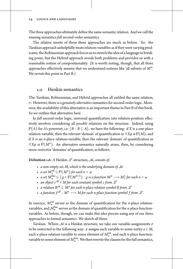The three approaches ultimately define the same semantic relation. And we call the ensuing semantics *full* second-order semantics.

The relative merits of these three approaches are much as before. So: the Tarskian approach unhelpfully treats relation-variables as if they were varying predicates; the Robinsonian approach forces us to stretch the idea of a language to breaking point; but the Hybrid approach avoids both problems and provides us with a reasonable notion of compositionality. (It is worth noting, though, that all three approaches effectively assume that we understand notions like 'all subsets of *M<sup>n</sup>* '. We revisit this point in Part B.)

## 1.11 Henkin semantics

The Tarskian, Robinsonian, and Hybrid approaches all yielded the same relation, ⊧. However, there is a *genuinely alternative*semantics for second-order logic. Moreover, the availability of this alternative is an important theme in Part B of this book. So we outline that alternative here.

In *full* second-order logic, universal quantification into relation-position effectively involves considering *all possible* relations on the structure. Indeed, using  $\mathcal{P}(A)$  for *A*'s powerset, i.e.  $\{B : B \subseteq A\}$ , we have the following: if *X* is a one-place relation-variable, then the relevant 'domain' of quantification in  $\forall X \varphi$  is  $\mathcal{P}(M)$ ; and if *X* is an *n*-place relation-variable, then the relevant 'domain' of quantification in ∀*X* $\phi$  is  $\mathcal{P}(M^n)$ . An alternative semantics naturally arises, then, by considering more *restrictive* 'domains' of quantification, as follows:

Definition 1.6: *A* Henkin *L* -structure*, M, consists of:*

- *• a non-empty set, M, which is the underlying domain of M*
- $\cdot$  *a set*  $M_n^{\text{rel}} \subseteq \mathcal{P}(M^n)$  *for each n* < *ω ω ω λ f*<sup>fun</sup> ∈ *∫ ω*  $\mathcal{P}(M^n)$  *ω ω*
- *• a set*  $M_n^{\text{fun}} \subseteq \{g \in \mathcal{P}(M^{n+1}) : g \text{ is a function } M^n \longrightarrow M\}$  for each  $n < \omega$
- *• an object c<sup>M</sup>* <sup>∈</sup> *M for each constant symbol c from <sup>L</sup>*
- *• a relation R<sup>M</sup>* <sup>⊆</sup> *<sup>M</sup><sup>n</sup> for each n-place relation symbol R from L*
- *a function*  $f^{\mathcal{M}} : M^{n} \longrightarrow M$  for each *n*-place function symbol f from  $\mathcal{L}$ .

In essence,  $M_n^{\text{rel}}$  serves as the domain of quantification for the *n*-place relationvariables, and  $M_n^{\text{fun}}$  serves as the domain of quantification for the *n*-place functionvariables. As before, though, we can make this idea precise using any of our three approaches to formal semantics. We sketch all three.

*Tarskian.* Where *M* is a Henkin structure, we take our variable-assignments *σ* to be restricted in the following way: *σ* assigns each variable to some entity  $a \in M$ , each *n*-place relation-variable to some element of  $M_n^{\text{rel}}$ , and each *n*-place functionvariable to some element of  $M_n^{\text{fun}}$  . We then rewrite the clauses for the full semantics,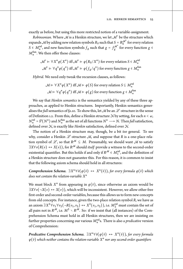exactly as before, but using this more restricted notion of a variable-assignment.

*Robinsonian.* Where *M* is a Henkin structure, we let *M*<sup>◽</sup> be the structure which expands *M* by adding new relation symbols  $R_S$  such that  $S = R_S^{\mathcal{M}^\circ}$  for every relation *S* ∈ *M*<sup>rel</sup>, and new function symbols  $f_g$  such that  $g = f_g^{\mathcal{M}^{\text{d}}}$  for every function  $g \in$  $M_n^{\text{fun}}$ . We then offer these clauses:

$$
\mathcal{M}^{\circ} \vDash \forall X^{n} \varphi(X^{n}) \text{ iff } \mathcal{M}^{\circ} \vDash \varphi(R_{S}/X^{n}) \text{ for every relation } S \in M_{n}^{\text{rel}}
$$

$$
\mathcal{M}^{\circ} \vDash \forall q^{n} \varphi(q^{n}) \text{ iff } \mathcal{M}^{\circ} \vDash \varphi(f_{g}/q^{n}) \text{ for every function } g \in M_{n}^{\text{fun}}
$$

*Hybrid.* We need only tweak the recursion clauses, as follows:

$$
\mathcal{M} \vDash \forall X^{n} \varphi(X^{n}) \text{ iff } \mathcal{M} \vDash \varphi(S) \text{ for every relation } S \subseteq M_{n}^{\text{rel}}
$$

$$
\mathcal{M} \vDash \forall q^{n} \varphi(q^{n}) \text{ iff } \mathcal{M} \vDash \varphi(g) \text{ for every function } g \in M_{n}^{\text{fun}}
$$

We say that *Henkin semantics* is the semantics yielded by any of these three approaches, as applied to Henkin structures. Importantly, Henkin semantics generalises the *full*semantics of §1.10. To show this, let*M*be an *L* -structure in the sense of Definition 1.2. From this, define a Henkin structure *<sup>N</sup>* by setting, for each *<sup>n</sup>* <sup>&</sup>lt; *<sup>ω</sup>*,  $N_n^{\text{rel}} = \mathcal{P}(N^n)$  and  $N_n^{\text{fun}}$  as the set of all functions  $N^n \longrightarrow N$ . Then *full* satisfaction, defined over *N*, is exactly like *Henkin* satisfaction, defined over *N*.

The notion of a Henkin structure may, though, be a bit *too* general. To see why, consider a Henkin  $L$ -structure  $M$ , and suppose that  $R$  is a one-place relation symbol of *L*, so that  $R^M \subseteq M$ . Presumably, we should want *M* to satisfy  $\exists X \forall v (R(v) \leftrightarrow X(v))$ , for  $R^{\mathcal{M}}$  should *itself* provide a witness to the second-order existential quantifier. But this holds if and only if  $R^M \in M_1^{\text{rel}}$ , and the definition of a Henkin structure does not guarantee this. For this reason, it is common to insist that the following axiom schema should hold in all structures:

 $\mathcal{L}$ **Comprehension Schema.**  $\exists X^n \forall \bar{\nu}(\varphi(\bar{\nu}) \leftrightarrow X^n(\bar{\nu}))$ , for every formula  $\varphi(\bar{\nu})$  which *does not contain the relation-variable X<sup>n</sup>*

We must block  $X^n$  from appearing in  $\varphi(\bar{v})$ , since otherwise an axiom would be  $\exists X \forall v (\neg X(v) \leftrightarrow X(v))$ , which will be inconsistent. However, we allow other free first-order and second-order variables, because this allows us to form new concepts from old concepts. For instance, given the two-place relation symbol *R*, we have as an axiom  $\exists X^2 \forall v_1 \forall v_2 (\neg R(v_1, v_2) \leftrightarrow X^2(v_1, v_2))$ , i.e.  $M_2^{\text{rel}}$  must contain the set of all pairs not in  $R^{\mathcal{M}}$ , i.e.  $M^2 \smallsetminus R^{\mathcal{M}}.$  So: if we insist that (all instances) of the Comprehension Schema must hold in all Henkin structures, then we are insisting on further properties concerning our various *M*rel *n* s. There is also a *predicative* version of Comprehension:

*Predicative Comprehension Schema.*  $\exists X^n \forall \bar{\nu}(\varphi(\bar{\nu}) \leftrightarrow X^n(\bar{\nu}))$ *, for every formula <sup>φ</sup>*(*v*) *which neither contains the relation-variable X<sup>n</sup> nor any second-order quantifiers*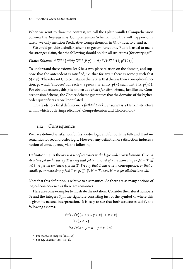When we want to draw the contrast, we call the (plain vanilla) Comprehension Schema the *Impredicative* Comprehension Schema. But this will happen only rarely; we only mention Predicative Comprehension in §§5.7, 10.2, 10.c, and 11.3.

We could provide a similar schema to govern functions. But it is usual to make the stronger claim, that the following should hold in all structures (for every *n*):<sup>30</sup>

## *Choice Schema.*  $\forall X^{n+1} (\forall \bar{\nu} \exists y X^{n+1}(\bar{\nu}, y) \rightarrow \exists p^n \forall \bar{\nu} X^{n+1}(\bar{\nu}, p^n(\bar{\nu})))$

To understand these axioms, let *S* be a two-place relation on the domain, and suppose that the antecedent is satisfied, i.e. that for any *x* there is some *y* such that  $S(x, y)$ . The relevant Choice instance then states that there is then a one-place function, *p*, which 'chooses', for each *x*, a *particular* entity  $p(x)$  such that  $S(x, p(x))$ . For obvious reasons, this *p* is known as a *choice function*. Hence, just like the Comprehension Schema, the Choice Schema guarantees that the domains of the higherorder quantifiers are well populated.

This leads to a final definition: a *faithful Henkin structure* is a Henkin structure within which both (impredicative) Comprehension and Choice hold.<sup>31</sup>

## 1.12 Consequence

We have defined satisfaction for first-order logic and for both the full- and Henkinsemantics for second-order logic. However, any definition of satisfaction induces a notion of consequence, via the following:

Definition 1.7: *A* theory *is a set of sentences in the logic under consideration. Given a structure M and a theory T, we say that M is a model of T, or more simply M*  $\vDash$  *T, iff*  $M \vDash \varphi$  for all sentences  $\varphi$  from T. We say that T has  $\varphi$  as a consequence, or that T *entails*  $\varphi$ *, or more simply just*  $T \models \varphi$ *, iff: if*  $\mathcal{M} \models T$  *then*  $\mathcal{M} \models \varphi$  *for all structures*  $\mathcal{M}$ *.* 

Note that this definition is relative to a semantics. So there are as many notions of logical consequence as there are semantics.

Here are some examples to illustrate the notation. Consider the natural numbers  $X$  and the integers  $\zeta$  in the signature consisting just of the symbol  $\zeta$ , where this is given its natural interpretation. It is easy to see that both structures satisfy the following axioms:

$$
\forall x \forall y \forall z ((x < y \land y < z) \rightarrow x < z)
$$
  

$$
\forall x (x \nless x)
$$
  

$$
\forall x \forall y (x < y \lor x = y \lor y < x)
$$

 $30$  For more, see Shapiro (1991: 67).

<sup>31</sup> See e.g. Shapiro (1991: 98–9).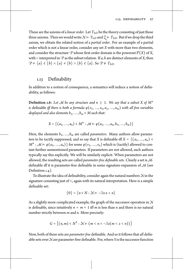These are the axioms of a *linear order*. Let*T*LO be the theory consisting of just these three axioms. Then we would write  $\mathcal{N} \models T_{LO}$  and  $\mathcal{Z} \models T_{LO}$ . But if we drop the third axiom, we obtain the related notion of a *partial order*. For an example of a partial order which is not a linear order, consider any set *X* with more than two elements, and consider the structure  $\mathcal P$  whose first-order domain is the powerset  $\mathcal P(X)$  of  $X$ , with <sup>&</sup>lt; interpreted in *<sup>P</sup>* as the subset relation. If *<sup>a</sup>*, *<sup>b</sup>* are distinct elements of *<sup>X</sup>*, then *P* ⊨ {*a*}  $\nless$  {*b*} ∧ {*a*} ≠ {*b*} ∧ {*b*}  $\nless$  {*a*}. So *P* ⊭ *T*<sub>LO</sub>.

## 1.13 Definability

In addition to a notion of consequence, a semantics will induce a notion of definability, as follows:

**Definition 1.8:** Let M be any structure and  $n \geq 1$ . We say that a subset X of  $M^n$ *is* definable *iff there is both a formula*  $\varphi(\nu_1, \ldots, \nu_n, x_1, \ldots, x_m)$  *with all free variables displayed and also elements*  $b_1, \ldots, b_m \in M$  *such that:* 

$$
X = \{(a_1, ..., a_n) \in M^n : \mathcal{M} \models \varphi(a_1, ..., a_n, b_1, ..., b_m)\}
$$

Here, the elements  $b_1, ..., b_m$  are called *parameters*. Many authors allow parameters to be tacitly suppressed, and so say that *X* is definable iff  $X = \{(a_1, ..., a_n) \in$  $M^n$  :  $\mathcal{M} \models \varphi(a_1, ..., a_n)$  for some  $\varphi(v_1, ..., v_n)$  which is (tacitly) allowed to contain further unmentioned parameters. If parameters are not allowed, such authors typically say this explicitly. We will be similarly explicit. When parameters are not allowed, the resulting sets are called *parameter-free definable sets*. Clearly a set is *M*definable iff it is parameter-free definable in some signature-expansion of *M* (see Definition 1.4).

To illustrate the idea of definability, consider again the natural numbers *N* in the signature consisting just of <sup>&</sup>lt;, again with its natural interpretation. Here is a simple definable set:

$$
\{0\} = \{n \in \mathbb{N} : \mathcal{N} \models \neg \exists x \, x < n\}
$$

As a slightly more complicated example, the graph of the successor operation in *N* is definable, since intuitively  $n = m + 1$  iff *m* is less than *n* and there is no natural number strictly between *m* and *n*. More precisely:

$$
G = \left\{ (n, m) \in N^2 : \mathcal{N} \models (m < n \land \neg \exists z (m < z < n)) \right\}
$$

Now, both of these sets are *parameter-free* definable. And so it follows that *all* definable sets over  $\mathcal N$  are parameter-free definable. For, where  $S$  is the successor function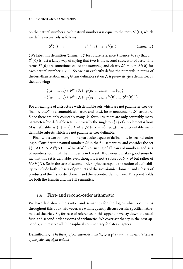on the natural numbers, each natural number *n* is equal to the term  $S<sup>n</sup>(0)$ , which we define recursively as follows:

$$
S^{0}(a) = a \qquad S^{n+1}(a) = S(S^{n}(a)) \qquad (numerals)
$$

(We label this definition '(*numerals*)' for future reference.) Hence, to say that 2 <sup>=</sup> *S* 2 (0) is just a fancy way of saying that two is the second successor of zero. The terms  $S<sup>n</sup>(0)$  are sometimes called the *numerals*, and clearly  $\mathcal{N} \models n = S<sup>n</sup>(0)$  for each natural number  $n \geq 0$ . So, we can explicitly define the numerals in terms of the less-than relation using *G*, any definable set on *N* is *parameter-free* definable, by the following:

$$
\{(a_1, ..., a_n) \in N^n : \mathcal{N} \models \varphi(a_1, ..., a_n, b_1, ..., b_m)\}
$$
  
=
$$
\{(a_1, ..., a_n) \in N^n : \mathcal{N} \models \varphi(a_1, ..., a_n, S^{b_1}(0), ..., S^{b_m}(0))\}
$$

For an example of a structure with definable sets which are not parameter-free definable, let  $\mathscr L$  be a countable signature and let  $\mathscr M$  be an uncountable  $\mathscr L$ -structure. Since there are only countably many *L* -formulas, there are only countably many parameter-free definable sets. But trivially the singleton {*a*} of any element *a* from *M* is definable, as  $\{a\} = \{x \in M : \mathcal{M} \models x = a\}$ . So *M* has uncountably many definable subsets which are not parameter-free definable.

Finally, it is worth mentioning a particular aspect of definability in second-order logic. Consider the natural numbers  $N$  in the full semantics, and consider the set  $\{(n, A) \in N \times \mathcal{P}(N) : \mathcal{N} \models A(n)\}\)$  consisting of all pairs of numbers and sets of numbers such that the number is in the set. It obviously makes good sense to say that this set is definable, even though it is not a subset of  $N \times N$  but rather of  $N \times \mathcal{P}(N)$ . So, in the case of second-order logic, we expand the notion of definability to include both subsets of products of the *second-order* domain, and subsets of products of the first-order domain and the second-order domain. This point holds for both the Henkin and the full semantics.

## 1.a First- and second-order arithmetic

We have laid down the syntax and semantics for the logics which occupy us throughout this book. However, we will frequently discuss certain specific mathematical theories. So, for ease of reference, in this appendix we lay down the usual first- and second-order axioms of arithmetic. We cover set theory in the next appendix, and reserve all philosophical commentary for later chapters.

Definition 1.9: *The theory of Robinson Arithmetic,* Q*, is given by the universal closures of the following eight axioms:*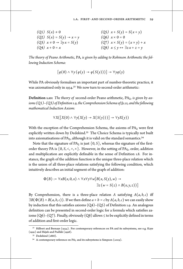| $(Q1) S(x) \neq 0$                                  | $(Q5)$ $x + S(y) = S(x + y)$                                |
|-----------------------------------------------------|-------------------------------------------------------------|
| $(Q2)$ $S(x) = S(y) \rightarrow x = y$              | $(Q6)$ $x \times 0 = 0$                                     |
| $(Q3)$ $x \neq 0 \rightarrow \exists y \, x = S(y)$ | $(Q7)$ $x \times S(y) = (x \times y) + x$                   |
| $(Q4) x + 0 = x$                                    | $(Q8)$ $x \leq y \leftrightarrow \exists z \cdot x + z = y$ |
|                                                     |                                                             |

*The theory of Peano Arithmetic,* PA*, is given by adding to Robinson Arithmetic the following Induction Schema:*

$$
\big[\varphi(0)\wedge \forall y\, \big(\varphi(y)\rightarrow \varphi\big(S(y)\big)\big)\big]\rightarrow \forall y \varphi\big(y\big)
$$

While PA obviously formalises an important part of number-theoretic practice, it was axiomatised only in 1934.<sup>32</sup> We now turn to second-order arithmetic:

Definition 1.10: *The theory of* second-order Peano arithmetic*,* PA2*, is given by axioms (Q*1*)–(Q*3*) of Definition 1.9, the Comprehension Schema of §1.11, andthe following mathematical Induction Axiom:*

$$
\forall X (\big[ X(0) \wedge \forall y \big( X(y) \to X \big( S \big( y \big) \big) \big) \big] \to \forall y X \big( y \big) \big)
$$

With the exception of the Comprehension Schema, the axioms of  $PA<sub>2</sub>$  were first explicitly written down by Dedekind.<sup>33</sup> The Choice Schema is typically not built into axiomatisations of  $PA<sub>2</sub>$ , although it is valid on the standard semantics.<sup>34</sup>

Note that the signature of PA<sub>2</sub> is just  $\{0, S\}$ , whereas the signature of the firstorder theory PA is  $\{0, S, \langle , +, \times \rangle\}$ . However, in the setting of PA<sub>2</sub>, order, addition and multiplication are explicitly definable in the sense of Definition 1.8. For instance, the graph of the addition function is the unique three-place relation which is the union of all three-place relations satisfying the following condition, which intuitively describes an initial segment of the graph of addition:

$$
\Phi(B) := \forall x B(x, 0, x) \land \forall x \forall y \forall w [B(x, S(y), w) \rightarrow \exists z (w = S(z) \land B(x, y, z))]
$$

By Comprehension, there is a three-place relation *A* satisfying  $A(a, b, c)$  iff  $\exists B(\Phi(B) \land B(a, b, c))$ . If we then define  $a + b = c$  by  $A(a, b, c)$  we can easily show by induction that this satisfies axioms  $(Q4)-(Q5)$  of Definition 1.9. An analogous definition can be presented in second-order logic for a formula which satisfies axioms  $(Q6)-(Q7)$ . Finally, obviously  $(Q8)$  allows  $\leq$  to be explicitly defined in terms of addition and first-order logic.

<sup>&</sup>lt;sup>32</sup> Hilbert and Bernays (1934). For contemporary references on PA and its subsystems, see e.g. Kaye (1991) and Hájek and Pudlák (1998).

<sup>33</sup> Dedekind (1888).

 $34$  A contemporary reference on PA<sub>2</sub> and its subsystems is Simpson (2009).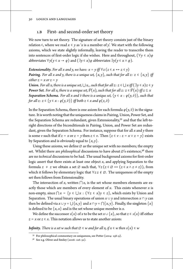### 1.b First- and second-order set theory

We now turn to set theory. The signature of set theory consists just of the binary relation  $∈$ , where we read  $x ∈ y$  as ' $x$  is a member of  $y'$ . We start with the following axioms, which we state slightly informally, leaving the reader to transcribe them into sentences of first-order logic if she wishes. Here and throughout, (∀*<sup>y</sup>* <sup>∈</sup> *<sup>x</sup>*)*<sup>φ</sup>* abbreviates  $\forall y (y \in x \rightarrow \varphi)$  and  $(\exists y \in x) \varphi$  abbreviates  $\exists y (y \in x \land \varphi)$ .

*Extensionality.* For all x and y, we have:  $x = y$  iff  $\forall z (z \in x \leftrightarrow z \in y)$ *Pairing.* For all x and y, there is a unique set,  $\{x, y\}$ , such that for all z:  $z \in \{x, y\}$  iff *either*  $z = x$  *or*  $z = y$ 

*Union.* For all *x*, there is a unique set,  $\bigcup x$ , , such that for all  $z: z \in \bigcup x$  iff  $(\exists y \in x)z \in y$ *Power Set.* For all x, there is a unique set,  $\mathcal{P}(x)$ , such that for all z:  $z \in \mathcal{P}(x)$  iff  $z \subseteq x$ *Separation Schema.* For all x and  $\bar{v}$  there is a unique set,  $\{y \in x : \varphi(y, \bar{v})\}$ , such that *for all z:*  $z \in \{y \in x : \varphi(y, \overline{v})\}$  *iff both*  $z \in x$  *and*  $\varphi(z, \overline{v})$ 

In the Separation Schema, there is one axiom for each formula  $\varphi(y, \bar{v})$  in the signature. It is worth noting that the uniqueness claims in Pairing, Union, Power Set, and the Separation Schema are redundant, given Extensionality,<sup>35</sup> and that the left-toright directions of the biconditionals in Pairing, Union, and Power Set are redundant, given the Separation Schema. For instance, suppose that for all *x* and *y* there is some *v* such that if  $z = x$  or  $z = y$  then  $z \in v$ . Then  $\{z \in v : z = x \vee z = y\}$  exists by Separation and is obviously equal to  $\{x, y\}$ .

Using these axioms, we define  $\varnothing$  as the unique set with no members; the empty set. Whilst there are *philosophical* discussions to have about ∅'s existence,<sup>36</sup> there are no *technical* discussions to be had. The usual background axioms for first-order logic assert that there exists at least one object *x*, and applying Separation to the formula  $z \neq z$  we obtain a set  $\emptyset$  such that,  $\forall z (z \in \emptyset \leftrightarrow (z \in x \land z \neq z))$ , from which it follows by elementary logic that  $\forall z \in \emptyset$ . The uniqueness of the empty set then follows from Extensionality.

The intersection of *x*, written  $\bigcap x$ , is the set whose members elements are exactly those which are members of every element of *x*. This exists whenever *x* is non-empty, since  $\bigcap x = \{y \in \bigcup x : (\forall z \in x) y \in z\}$ , which exists by Union and Separation. The usual binary operations of union  $x \cup y$  and intersection  $x \cap y$  can then be defined via  $x \cup y = \bigcup \{x, y\}$  and  $x \cap y = \bigcap \{x, y\}$ . Finally, the singleton  $\{x\}$ is defined to be  $\{x, x\}$  and is the set whose unique member is *x*.

We define the successor *s*(*x*) of *x* to be the set  $x \cup \{x\}$ , so that  $z \in s(x)$  iff either  $z = x$  or  $z \in x$ . This notation allows us to state another axiom:

*Infinity. There is a set w such that*  $\emptyset \in w$  *and for all x, if*  $x \in w$  *then*  $s(x) \in w$ 

<sup>35</sup> For philosophical commentary on uniqueness, see Potter (2004: 258–9).

<sup>36</sup> See e.g. Oliver and Smiley (2006: 126–32).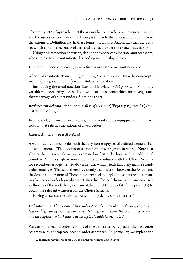The empty set  $\varnothing$  plays a role in set theory similar to the role zero plays in arithmetic, and the successor function *s* in set theory is similar to the successor function *S* from the axioms of Definition 1.9. In these terms, the Infinity Axiom says that there is a set which contains the ersatz of zero and is closed under the ersatz of successor.

Usingthe intersection operation, defined above, we can also state another axiom, whose role is to rule out infinite descending membership chains:

#### *Foundation.* For every non-empty set x there is some  $z \in \mathcal{x}$  such that  $z \cap x = \emptyset$

After all, if an infinite chain …  $\in x_n \in ... \in x_2 \in x_1 \in x_0$  existed, then the non-empty set  $x = \{x_0, x_1, x_2, \ldots, x_n, \ldots\}$  would violate Foundation.

Introducing the usual notation <sup>∃</sup>!*xφ* to abbreviate <sup>∃</sup>*x*∀*v*(*<sup>φ</sup>* <sup>↔</sup> *<sup>x</sup>* <sup>=</sup> *<sup>v</sup>*), for any variable *v* not occurring in *φ*, we lay down an axiom schema which, intuitively, states that the image of any set under a function is a set:

*Replacement Schema. For all w and all*  $\bar{v}$ *: if*  $(\forall x \in w) \exists! y \varphi(x, y, \bar{v})$ *, then*  $\exists z (\forall x \in \mathbb{R})$ *w*)(∃*y* ∈ *z*) $\varphi$ (*x*, *y*, *v*̃)

Finally, we lay down an axiom stating that any set can be equipped with a binary relation that satisfies the axioms of a well-order:

#### *Choice. Any set can be well-ordered*

A well-order is a linear order such that any non-empty set of ordered elements has a least element. (The axioms of a linear order were given in §1.12.) Note that Choice, here, is a single axiom, expressed in first-order logic with an additional primitive, <sup>∈</sup>. This single Axiom should *not* be confused with the Choice Schema for second-order logic, as laid down in §1.11, which yields infinitely many secondorder sentences. That said, there is evidently a connection between the Axiom and the Schema: the Axiom of Choice (in our model theory) entails that the full semantics for second-order logic always satisfies the Choice Schema, since one can use a well-order of the underlying domain of the model (or one of its finite products) to obtain the relevant witnesses for the Choice Schema.

Having discussed the axioms, we can finally define some theories:<sup>37</sup>

Definition 1.11: *The axioms of* first-order Zermelo–Fraenkel set theory*,* ZF*, are Extensionality, Pairing, Union, Power Set, Infinity, Foundation, the Separation Schema, and the Replacement Schema. The theory* ZFC *adds Choice to* ZF*.*

We can form second-order versions of these theories by replacing the first-order schemas with appropriate second-order sentences. In particular, we replace the

 $37\;$  A contemporary reference for ZFC is e.g. the monograph Kunen (1980).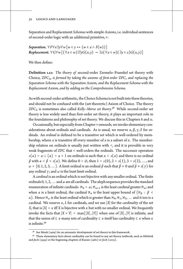Separation and Replacement *Schemas* with simple *Axioms*, i.e. individual sentences of second-order logic with an additional primitive, <sup>∈</sup>:

*Separation.*  $\forall F \forall x \exists y \forall w \ [w \in y \leftrightarrow (w \in x \land F(w))]$ *Replacement.*  $\forall G \forall w [(∀x ∈ w) \exists! y G(x, y) \rightarrow \exists z (∀x ∈ w)(\exists y ∈ z) G(x, y)]$ 

We then define:

Definition 1.12: *The theory of* second-order Zermelo–Fraenkel set theory with Choice*,* ZFC2*, is formed by taking the axioms of first-order* ZFC*, and replacing the Separation Schema with the Separation Axiom, and the Replacement Schema with the Replacement Axiom, and by adding on the Comprehension Schema.*

As with second-order arithmetic, the Choice Schema is not built into these theories, and should not be confused with the (set-theoretic) Axiom of Choice. The theory  ${\rm ZFC}_2$  is sometimes also called *Kelly–Morse set theory*.<sup>38</sup> While second-order set theory is less widely used than first-order set theory, it plays an important role in the foundations and philosophy of set theory. We discuss this in Chapters 8 and 11.

Occasionally, but especially from Chapter 7 onwards, we invoke elementary considerations about ordinals and cardinals. As is usual, we reserve *α*, *β*, *γ*, *δ* for ordinals. An *ordinal* is defined to be a transitive set which is well-ordered by membership, where *x* is transitive iff every member of *x* is a subset of *x*. The membership relation on ordinals is usually just written with  $\lt$ , and it is provable in very weak fragments of ZFC that <sup>&</sup>lt; well-orders the ordinals. The successor operation  $s(a) = a \cup \{a\} = a + 1$  on ordinals is such that  $a < s(a)$  and there is no ordinal *β* with *α* < *β* < *s*(*α*). We define 0 =  $\emptyset$ , then 1 = *s*(0), 2 = *s*(1), 3 = *s*(2), ..., and *ω* = {0, 1, 2, 3, ... }. A limit ordinal is an ordinal *β* such that  $β ≠ 0$  and  $β ≠ s(γ)$  for any ordinal  $\gamma$ ; and  $\omega$  is the least limit ordinal.

A *cardinal* is an ordinal which is not bijective with any smaller ordinal. The finite ordinals  $0, 1, 2, \ldots$  and  $\omega$  are all cardinals. The aleph sequence provides the standard enumeration of infinite cardinals:  $\aleph_0 = \omega$ ;  $\aleph_{\alpha+1}$  is the least cardinal greater  $\aleph_{\alpha}$ ; and when *a* is a limit ordinal, the cardinal  $\aleph_{\alpha}$  is the least upper bound of  $\{\aleph_{\beta} : \beta < \alpha\}$ *a*}. Hence  $\aleph_{\omega}$  is the least ordinal which is greater than  $\aleph_0$ ,  $\aleph_1$ ,  $\aleph_2$ , ... and it too is a cardinal. We reserve *κ*,*λ* for cardinals, and we use ∣*X*∣ for the *cardinality* of the set *X*, that is  $|X| = \kappa$  iff *X* is bijective with  $\kappa$  but with no smaller ordinal. We frequently invoke the facts that  $|X \times Y| = \max\{|X|, |Y|\}$  when one of  $|X|, |Y|$  is infinite, and that the union of  $\leq \kappa$ -many sets of cardinality  $\leq \kappa$  itself has cardinality  $\leq \kappa$  when  $\kappa$ is infinite.<sup>39</sup>

 $38$  See Monk (1969) for an axiomatic development of set theory in this framework.

<sup>&</sup>lt;sup>39</sup> These elementary facts about cardinality can be found in any set-theory textbook, such as Hrbáček and Jech (1999) or the beginning chapters of Kunen (1980) or Jech (2003).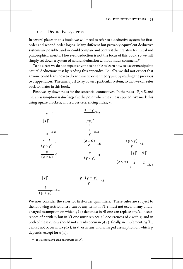## 1.c Deductive systems

In several places in this book, we will need to refer to a deductive system for firstorder and second-order logics. Many different but provably equivalent deductive systems are possible, and we could compare and contrast their relative technical and philosophical merits. However, deduction is not the focus of this book, so we will simply set down a system of natural deduction without much comment.<sup>40</sup>

To be clear: we do not expect anyone to be able to learn how to use or manipulate natural deductions just by reading this appendix. Equally, we did not expect that anyone could learn how to do arithmetic or set theory just by reading the previous two appendices. The aim is just to lay down a particular system, so that we can refer back to it later in this book.

First, we lay down rules for the sentential connectives. In the rules ¬E, ∨E, and →I, an assumption is *discharged* at the point when the rule is applied. We mark this using square brackets, and a cross-referencing index, *n*:

$$
\frac{1}{\varphi}Ex
$$
\n
$$
[\varphi]^{n}
$$
\n
$$
[\varphi]^{n}
$$
\n
$$
\frac{1}{-\varphi}\neg I, n
$$
\n
$$
\frac{\varphi \neg \varphi}{\varphi}Ex
$$
\n
$$
[\varphi]^{n}
$$
\n
$$
\frac{1}{-\varphi}\neg I, n
$$
\n
$$
\frac{\varphi \psi}{\varphi}Ex
$$
\n
$$
\frac{\varphi \psi}{\varphi}Ex
$$
\n
$$
\frac{\varphi \psi}{\varphi}Ex
$$
\n
$$
\frac{\varphi \psi}{\varphi}Ex
$$
\n
$$
\frac{\varphi \neg \varphi}{\varphi}Ex
$$
\n
$$
\frac{\varphi \neg \varphi}{\varphi}Ex
$$
\n
$$
\frac{\varphi \neg \varphi}{\varphi}Ex
$$
\n
$$
\frac{\varphi \neg \varphi}{\varphi}Ex
$$
\n
$$
\frac{\varphi \neg \varphi}{\varphi}Ex
$$
\n
$$
\frac{\varphi \wedge \psi}{\varphi}E
$$
\n
$$
\frac{\varphi \wedge \psi}{\varphi}E
$$
\n
$$
\frac{\varphi \wedge \psi}{\varphi}E
$$
\n
$$
\frac{\varphi \vee \psi}{\chi}X
$$
\n
$$
\frac{\varphi \vee \psi}{\chi}E, n
$$

$$
\begin{array}{ccc}\n[\varphi]^n & & \varphi & (\varphi \to \psi) \\
\vdots & & \psi & \to E \\
(\varphi \to \psi) & \to I, n\n\end{array}
$$

We now consider the rules for first-order quantifiers. These rules are subject to the following restrictions: *t* can be any term; in ∀I, *c* must not occur in any undischarged assumption on which  $\varphi(c)$  depends; in  $\exists I$  one can replace any/all occurrences of *t* with *x*, but in ∀I one must replace *all* occurrences of *c* with *x*, and in both of these rules *x* should not already occur in  $\varphi(c)$ ; finally, in implementing  $\exists E$ , *c* must not occur in  $\exists x \varphi(x)$ , in  $\psi$ , or in any undischarged assumption on which  $\psi$ depends, except for *φ*(*c*).

<sup>40</sup> It is essentially based on Prawitz (1965).